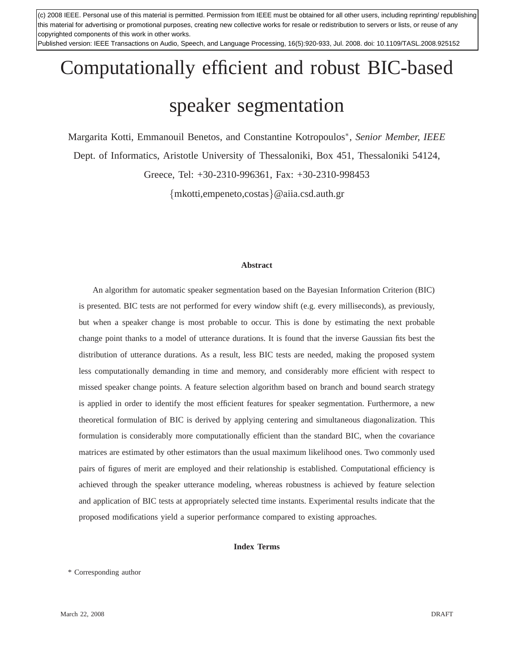(c) 2008 IEEE. Personal use of this material is permitted. Permission from IEEE must be obtained for all other users, including reprinting/ republishing this material for advertising or promotional purposes, creating new collective works for resale or redistribution to servers or lists, or reuse of any copyrighted components of this work in other works.

1 Published version: IEEE Transactions on Audio, Speech, and Language Processing, 16(5):920-933, Jul. 2008. doi: 10.1109/TASL.2008.925152

# Computationally efficient and robust BIC-based speaker segmentation

Margarita Kotti, Emmanouil Benetos, and Constantine Kotropoulos<sup>∗</sup> , *Senior Member, IEEE* Dept. of Informatics, Aristotle University of Thessaloniki, Box 451, Thessaloniki 54124,

Greece, Tel: +30-2310-996361, Fax: +30-2310-998453

{mkotti,empeneto,costas}@aiia.csd.auth.gr

#### **Abstract**

An algorithm for automatic speaker segmentation based on the Bayesian Information Criterion (BIC) is presented. BIC tests are not performed for every window shift (e.g. every milliseconds), as previously, but when a speaker change is most probable to occur. This is done by estimating the next probable change point thanks to a model of utterance durations. It is found that the inverse Gaussian fits best the distribution of utterance durations. As a result, less BIC tests are needed, making the proposed system less computationally demanding in time and memory, and considerably more efficient with respect to missed speaker change points. A feature selection algorithm based on branch and bound search strategy is applied in order to identify the most efficient features for speaker segmentation. Furthermore, a new theoretical formulation of BIC is derived by applying centering and simultaneous diagonalization. This formulation is considerably more computationally efficient than the standard BIC, when the covariance matrices are estimated by other estimators than the usual maximum likelihood ones. Two commonly used pairs of figures of merit are employed and their relationship is established. Computational efficiency is achieved through the speaker utterance modeling, whereas robustness is achieved by feature selection and application of BIC tests at appropriately selected time instants. Experimental results indicate that the proposed modifications yield a superior performance compared to existing approaches.

#### **Index Terms**

\* Corresponding author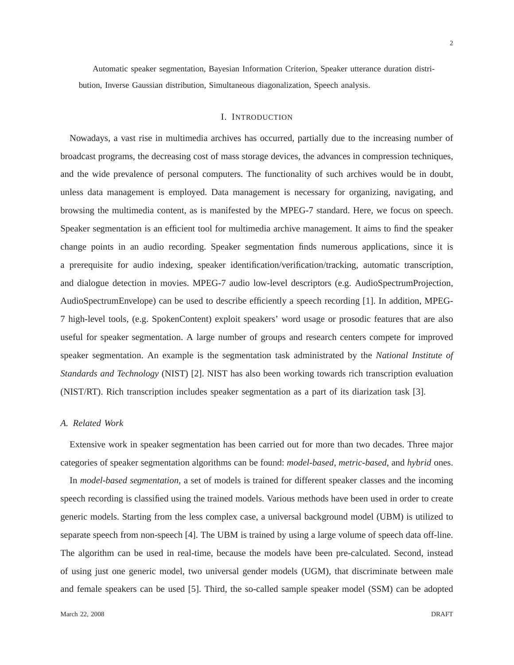Automatic speaker segmentation, Bayesian Information Criterion, Speaker utterance duration distribution, Inverse Gaussian distribution, Simultaneous diagonalization, Speech analysis.

# I. INTRODUCTION

Nowadays, a vast rise in multimedia archives has occurred, partially due to the increasing number of broadcast programs, the decreasing cost of mass storage devices, the advances in compression techniques, and the wide prevalence of personal computers. The functionality of such archives would be in doubt, unless data management is employed. Data management is necessary for organizing, navigating, and browsing the multimedia content, as is manifested by the MPEG-7 standard. Here, we focus on speech. Speaker segmentation is an efficient tool for multimedia archive management. It aims to find the speaker change points in an audio recording. Speaker segmentation finds numerous applications, since it is a prerequisite for audio indexing, speaker identification/verification/tracking, automatic transcription, and dialogue detection in movies. MPEG-7 audio low-level descriptors (e.g. AudioSpectrumProjection, AudioSpectrumEnvelope) can be used to describe efficiently a speech recording [1]. In addition, MPEG-7 high-level tools, (e.g. SpokenContent) exploit speakers' word usage or prosodic features that are also useful for speaker segmentation. A large number of groups and research centers compete for improved speaker segmentation. An example is the segmentation task administrated by the *National Institute of Standards and Technology* (NIST) [2]. NIST has also been working towards rich transcription evaluation (NIST/RT). Rich transcription includes speaker segmentation as a part of its diarization task [3].

## *A. Related Work*

Extensive work in speaker segmentation has been carried out for more than two decades. Three major categories of speaker segmentation algorithms can be found: *model-based*, *metric-based*, and *hybrid* ones.

In *model-based segmentation*, a set of models is trained for different speaker classes and the incoming speech recording is classified using the trained models. Various methods have been used in order to create generic models. Starting from the less complex case, a universal background model (UBM) is utilized to separate speech from non-speech [4]. The UBM is trained by using a large volume of speech data off-line. The algorithm can be used in real-time, because the models have been pre-calculated. Second, instead of using just one generic model, two universal gender models (UGM), that discriminate between male and female speakers can be used [5]. Third, the so-called sample speaker model (SSM) can be adopted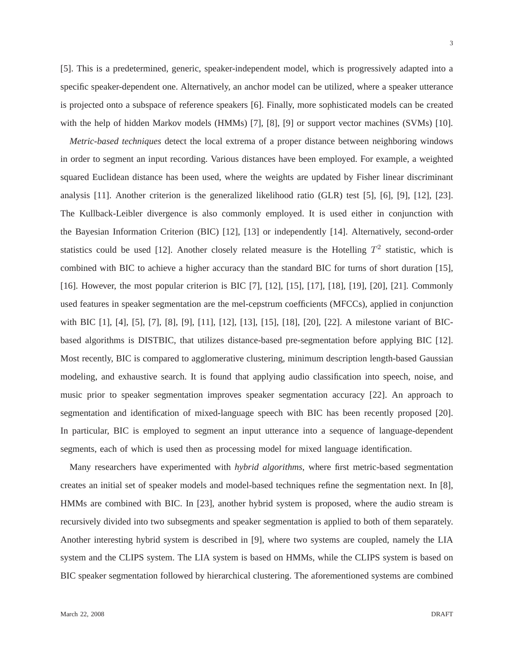[5]. This is a predetermined, generic, speaker-independent model, which is progressively adapted into a specific speaker-dependent one. Alternatively, an anchor model can be utilized, where a speaker utterance is projected onto a subspace of reference speakers [6]. Finally, more sophisticated models can be created with the help of hidden Markov models (HMMs) [7], [8], [9] or support vector machines (SVMs) [10].

*Metric-based techniques* detect the local extrema of a proper distance between neighboring windows in order to segment an input recording. Various distances have been employed. For example, a weighted squared Euclidean distance has been used, where the weights are updated by Fisher linear discriminant analysis [11]. Another criterion is the generalized likelihood ratio (GLR) test [5], [6], [9], [12], [23]. The Kullback-Leibler divergence is also commonly employed. It is used either in conjunction with the Bayesian Information Criterion (BIC) [12], [13] or independently [14]. Alternatively, second-order statistics could be used [12]. Another closely related measure is the Hotelling  $T^2$  statistic, which is combined with BIC to achieve a higher accuracy than the standard BIC for turns of short duration [15], [16]. However, the most popular criterion is BIC [7], [12], [15], [17], [18], [19], [20], [21]. Commonly used features in speaker segmentation are the mel-cepstrum coefficients (MFCCs), applied in conjunction with BIC [1], [4], [5], [7], [8], [9], [11], [12], [13], [15], [18], [20], [22]. A milestone variant of BICbased algorithms is DISTBIC, that utilizes distance-based pre-segmentation before applying BIC [12]. Most recently, BIC is compared to agglomerative clustering, minimum description length-based Gaussian modeling, and exhaustive search. It is found that applying audio classification into speech, noise, and music prior to speaker segmentation improves speaker segmentation accuracy [22]. An approach to segmentation and identification of mixed-language speech with BIC has been recently proposed [20]. In particular, BIC is employed to segment an input utterance into a sequence of language-dependent segments, each of which is used then as processing model for mixed language identification.

Many researchers have experimented with *hybrid algorithms*, where first metric-based segmentation creates an initial set of speaker models and model-based techniques refine the segmentation next. In [8], HMMs are combined with BIC. In [23], another hybrid system is proposed, where the audio stream is recursively divided into two subsegments and speaker segmentation is applied to both of them separately. Another interesting hybrid system is described in [9], where two systems are coupled, namely the LIA system and the CLIPS system. The LIA system is based on HMMs, while the CLIPS system is based on BIC speaker segmentation followed by hierarchical clustering. The aforementioned systems are combined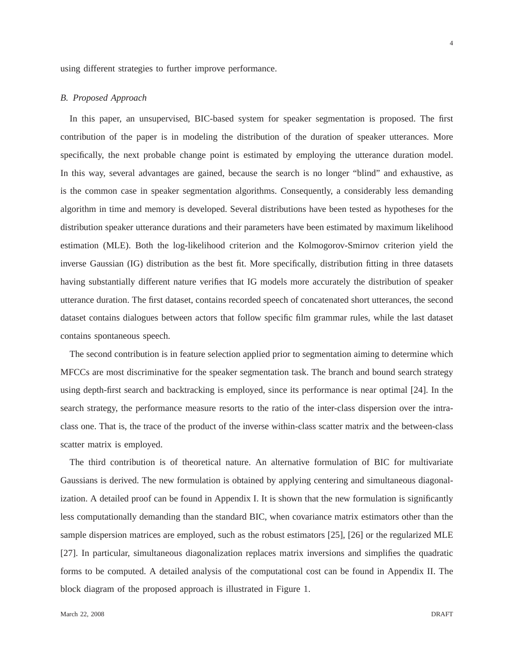using different strategies to further improve performance.

## *B. Proposed Approach*

In this paper, an unsupervised, BIC-based system for speaker segmentation is proposed. The first contribution of the paper is in modeling the distribution of the duration of speaker utterances. More specifically, the next probable change point is estimated by employing the utterance duration model. In this way, several advantages are gained, because the search is no longer "blind" and exhaustive, as is the common case in speaker segmentation algorithms. Consequently, a considerably less demanding algorithm in time and memory is developed. Several distributions have been tested as hypotheses for the distribution speaker utterance durations and their parameters have been estimated by maximum likelihood estimation (MLE). Both the log-likelihood criterion and the Kolmogorov-Smirnov criterion yield the inverse Gaussian (IG) distribution as the best fit. More specifically, distribution fitting in three datasets having substantially different nature verifies that IG models more accurately the distribution of speaker utterance duration. The first dataset, contains recorded speech of concatenated short utterances, the second dataset contains dialogues between actors that follow specific film grammar rules, while the last dataset contains spontaneous speech.

The second contribution is in feature selection applied prior to segmentation aiming to determine which MFCCs are most discriminative for the speaker segmentation task. The branch and bound search strategy using depth-first search and backtracking is employed, since its performance is near optimal [24]. In the search strategy, the performance measure resorts to the ratio of the inter-class dispersion over the intraclass one. That is, the trace of the product of the inverse within-class scatter matrix and the between-class scatter matrix is employed.

The third contribution is of theoretical nature. An alternative formulation of BIC for multivariate Gaussians is derived. The new formulation is obtained by applying centering and simultaneous diagonalization. A detailed proof can be found in Appendix I. It is shown that the new formulation is significantly less computationally demanding than the standard BIC, when covariance matrix estimators other than the sample dispersion matrices are employed, such as the robust estimators [25], [26] or the regularized MLE [27]. In particular, simultaneous diagonalization replaces matrix inversions and simplifies the quadratic forms to be computed. A detailed analysis of the computational cost can be found in Appendix II. The block diagram of the proposed approach is illustrated in Figure 1.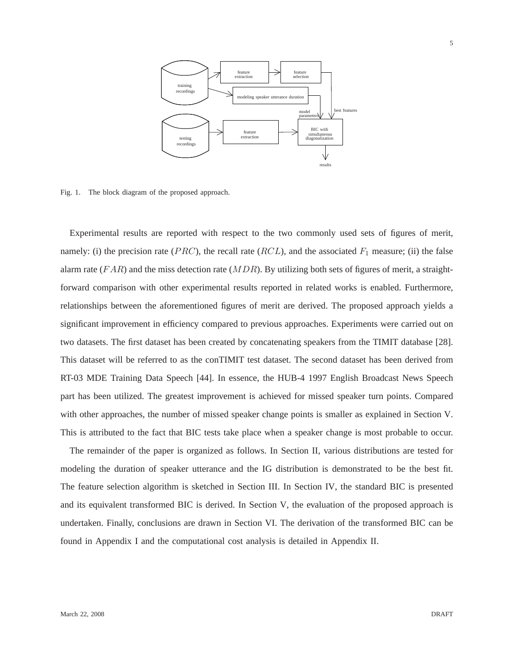

Fig. 1. The block diagram of the proposed approach.

Experimental results are reported with respect to the two commonly used sets of figures of merit, namely: (i) the precision rate (*PRC*), the recall rate (*RCL*), and the associated  $F_1$  measure; (ii) the false alarm rate  $(FAR)$  and the miss detection rate  $(MDR)$ . By utilizing both sets of figures of merit, a straightforward comparison with other experimental results reported in related works is enabled. Furthermore, relationships between the aforementioned figures of merit are derived. The proposed approach yields a significant improvement in efficiency compared to previous approaches. Experiments were carried out on two datasets. The first dataset has been created by concatenating speakers from the TIMIT database [28]. This dataset will be referred to as the conTIMIT test dataset. The second dataset has been derived from RT-03 MDE Training Data Speech [44]. In essence, the HUB-4 1997 English Broadcast News Speech part has been utilized. The greatest improvement is achieved for missed speaker turn points. Compared with other approaches, the number of missed speaker change points is smaller as explained in Section V. This is attributed to the fact that BIC tests take place when a speaker change is most probable to occur.

The remainder of the paper is organized as follows. In Section II, various distributions are tested for modeling the duration of speaker utterance and the IG distribution is demonstrated to be the best fit. The feature selection algorithm is sketched in Section III. In Section IV, the standard BIC is presented and its equivalent transformed BIC is derived. In Section V, the evaluation of the proposed approach is undertaken. Finally, conclusions are drawn in Section VI. The derivation of the transformed BIC can be found in Appendix I and the computational cost analysis is detailed in Appendix II.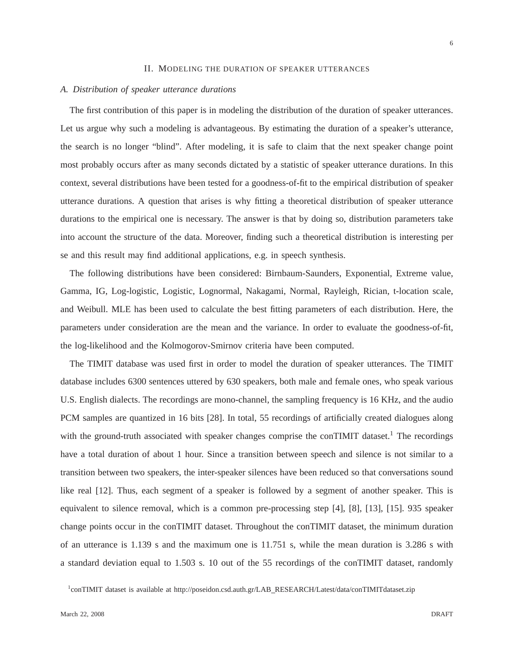## II. MODELING THE DURATION OF SPEAKER UTTERANCES

# *A. Distribution of speaker utterance durations*

The first contribution of this paper is in modeling the distribution of the duration of speaker utterances. Let us argue why such a modeling is advantageous. By estimating the duration of a speaker's utterance, the search is no longer "blind". After modeling, it is safe to claim that the next speaker change point most probably occurs after as many seconds dictated by a statistic of speaker utterance durations. In this context, several distributions have been tested for a goodness-of-fit to the empirical distribution of speaker utterance durations. A question that arises is why fitting a theoretical distribution of speaker utterance durations to the empirical one is necessary. The answer is that by doing so, distribution parameters take into account the structure of the data. Moreover, finding such a theoretical distribution is interesting per se and this result may find additional applications, e.g. in speech synthesis.

The following distributions have been considered: Birnbaum-Saunders, Exponential, Extreme value, Gamma, IG, Log-logistic, Logistic, Lognormal, Nakagami, Normal, Rayleigh, Rician, t-location scale, and Weibull. MLE has been used to calculate the best fitting parameters of each distribution. Here, the parameters under consideration are the mean and the variance. In order to evaluate the goodness-of-fit, the log-likelihood and the Kolmogorov-Smirnov criteria have been computed.

The TIMIT database was used first in order to model the duration of speaker utterances. The TIMIT database includes 6300 sentences uttered by 630 speakers, both male and female ones, who speak various U.S. English dialects. The recordings are mono-channel, the sampling frequency is 16 KHz, and the audio PCM samples are quantized in 16 bits [28]. In total, 55 recordings of artificially created dialogues along with the ground-truth associated with speaker changes comprise the conTIMIT dataset.<sup>1</sup> The recordings have a total duration of about 1 hour. Since a transition between speech and silence is not similar to a transition between two speakers, the inter-speaker silences have been reduced so that conversations sound like real [12]. Thus, each segment of a speaker is followed by a segment of another speaker. This is equivalent to silence removal, which is a common pre-processing step [4], [8], [13], [15]. 935 speaker change points occur in the conTIMIT dataset. Throughout the conTIMIT dataset, the minimum duration of an utterance is 1.139 s and the maximum one is 11.751 s, while the mean duration is 3.286 s with a standard deviation equal to 1.503 s. 10 out of the 55 recordings of the conTIMIT dataset, randomly

<sup>&</sup>lt;sup>1</sup>conTIMIT dataset is available at http://poseidon.csd.auth.gr/LAB\_RESEARCH/Latest/data/conTIMITdataset.zip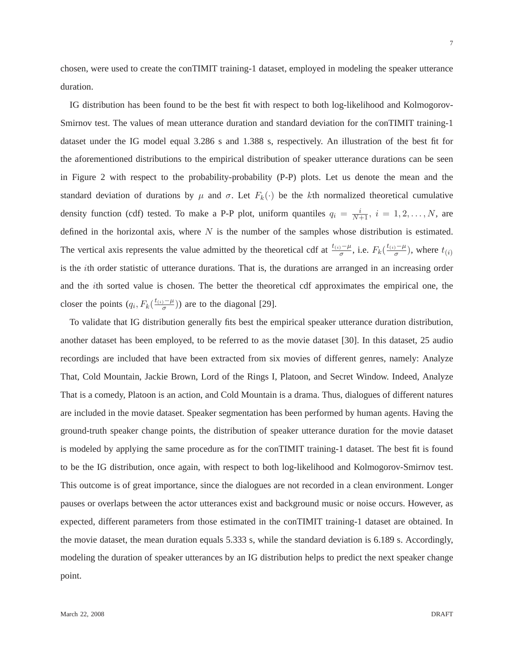7

chosen, were used to create the conTIMIT training-1 dataset, employed in modeling the speaker utterance duration.

IG distribution has been found to be the best fit with respect to both log-likelihood and Kolmogorov-Smirnov test. The values of mean utterance duration and standard deviation for the conTIMIT training-1 dataset under the IG model equal 3.286 s and 1.388 s, respectively. An illustration of the best fit for the aforementioned distributions to the empirical distribution of speaker utterance durations can be seen in Figure 2 with respect to the probability-probability (P-P) plots. Let us denote the mean and the standard deviation of durations by  $\mu$  and  $\sigma$ . Let  $F_k(\cdot)$  be the kth normalized theoretical cumulative density function (cdf) tested. To make a P-P plot, uniform quantiles  $q_i = \frac{i}{N+1}$ ,  $i = 1, 2, ..., N$ , are defined in the horizontal axis, where  $N$  is the number of the samples whose distribution is estimated. The vertical axis represents the value admitted by the theoretical cdf at  $\frac{t_{(i)}-\mu}{\sigma}$ , i.e.  $F_k(\frac{t_{(i)}-\mu}{\sigma})$  $\frac{1}{\sigma}$ ), where  $t_{(i)}$ is the *i*th order statistic of utterance durations. That is, the durations are arranged in an increasing order and the ith sorted value is chosen. The better the theoretical cdf approximates the empirical one, the closer the points  $(q_i, F_k(\frac{t_{(i)} - \mu}{\sigma}))$  $\frac{D-\mu}{\sigma}$ )) are to the diagonal [29].

To validate that IG distribution generally fits best the empirical speaker utterance duration distribution, another dataset has been employed, to be referred to as the movie dataset [30]. In this dataset, 25 audio recordings are included that have been extracted from six movies of different genres, namely: Analyze That, Cold Mountain, Jackie Brown, Lord of the Rings I, Platoon, and Secret Window. Indeed, Analyze That is a comedy, Platoon is an action, and Cold Mountain is a drama. Thus, dialogues of different natures are included in the movie dataset. Speaker segmentation has been performed by human agents. Having the ground-truth speaker change points, the distribution of speaker utterance duration for the movie dataset is modeled by applying the same procedure as for the conTIMIT training-1 dataset. The best fit is found to be the IG distribution, once again, with respect to both log-likelihood and Kolmogorov-Smirnov test. This outcome is of great importance, since the dialogues are not recorded in a clean environment. Longer pauses or overlaps between the actor utterances exist and background music or noise occurs. However, as expected, different parameters from those estimated in the conTIMIT training-1 dataset are obtained. In the movie dataset, the mean duration equals 5.333 s, while the standard deviation is 6.189 s. Accordingly, modeling the duration of speaker utterances by an IG distribution helps to predict the next speaker change point.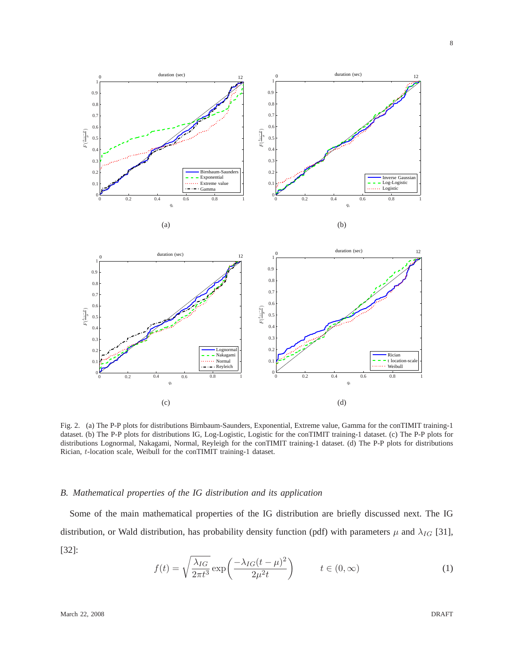

Fig. 2. (a) The P-P plots for distributions Birnbaum-Saunders, Exponential, Extreme value, Gamma for the conTIMIT training-1 dataset. (b) The P-P plots for distributions IG, Log-Logistic, Logistic for the conTIMIT training-1 dataset. (c) The P-P plots for distributions Lognormal, Nakagami, Normal, Reyleigh for the conTIMIT training-1 dataset. (d) The P-P plots for distributions Rician, t-location scale, Weibull for the conTIMIT training-1 dataset.

# *B. Mathematical properties of the IG distribution and its application*

Some of the main mathematical properties of the IG distribution are briefly discussed next. The IG distribution, or Wald distribution, has probability density function (pdf) with parameters  $\mu$  and  $\lambda_{IG}$  [31], [32]:

$$
f(t) = \sqrt{\frac{\lambda_{IG}}{2\pi t^3}} \exp\left(\frac{-\lambda_{IG}(t-\mu)^2}{2\mu^2 t}\right) \qquad t \in (0,\infty)
$$
 (1)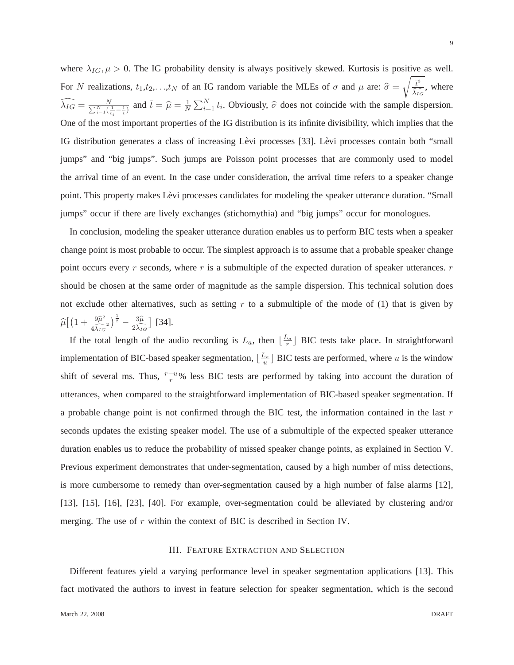where  $\lambda_{IG}$ ,  $\mu > 0$ . The IG probability density is always positively skewed. Kurtosis is positive as well. For N realizations,  $t_1, t_2, \ldots, t_N$  of an IG random variable the MLEs of  $\sigma$  and  $\mu$  are:  $\hat{\sigma} =$  $\sqrt{\overline{t}^3}$  $\frac{t}{\lambda_{IG}}$ , where  $\widehat{\lambda_{IG}} = \frac{N}{\sum_{i=1}^{N}(\frac{1}{t_i}-\frac{1}{t})}$  and  $\overline{t} = \widehat{\mu} = \frac{1}{N}\sum_{i=1}^{N}t_i$ . Obviously,  $\widehat{\sigma}$  does not coincide with the sample dispersion. One of the most important properties of the IG distribution is its infinite divisibility, which implies that the IG distribution generates a class of increasing Levi processes [33]. Levi processes contain both "small jumps" and "big jumps". Such jumps are Poisson point processes that are commonly used to model the arrival time of an event. In the case under consideration, the arrival time refers to a speaker change point. This property makes Lèvi processes candidates for modeling the speaker utterance duration. "Small jumps" occur if there are lively exchanges (stichomythia) and "big jumps" occur for monologues.

In conclusion, modeling the speaker utterance duration enables us to perform BIC tests when a speaker change point is most probable to occur. The simplest approach is to assume that a probable speaker change point occurs every  $r$  seconds, where  $r$  is a submultiple of the expected duration of speaker utterances.  $r$ should be chosen at the same order of magnitude as the sample dispersion. This technical solution does not exclude other alternatives, such as setting  $r$  to a submultiple of the mode of (1) that is given by  $\widehat{\mu}\big[\big(1+\frac{9\widehat{\mu}^2}{4\widehat{\lambda_{IG}}}$  $\frac{9\widehat{\mu}^2}{4\widehat{\lambda_{IG}}^2}\Big)^{\frac{1}{2}}-\frac{3\widehat{\mu}}{2\widehat{\lambda_{IG}}}$  $2\lambda_{IG}$ [34].

If the total length of the audio recording is  $L_a$ , then  $\lfloor \frac{L_a}{r} \rfloor$  $\frac{a}{r}$  BIC tests take place. In straightforward implementation of BIC-based speaker segmentation,  $\frac{L_a}{L_a}$  $\frac{U_a}{u}$  BIC tests are performed, where u is the window shift of several ms. Thus,  $\frac{r-u}{r}\%$  less BIC tests are performed by taking into account the duration of utterances, when compared to the straightforward implementation of BIC-based speaker segmentation. If a probable change point is not confirmed through the BIC test, the information contained in the last  $r$ seconds updates the existing speaker model. The use of a submultiple of the expected speaker utterance duration enables us to reduce the probability of missed speaker change points, as explained in Section V. Previous experiment demonstrates that under-segmentation, caused by a high number of miss detections, is more cumbersome to remedy than over-segmentation caused by a high number of false alarms [12], [13], [15], [16], [23], [40]. For example, over-segmentation could be alleviated by clustering and/or merging. The use of  $r$  within the context of BIC is described in Section IV.

# III. FEATURE EXTRACTION AND SELECTION

Different features yield a varying performance level in speaker segmentation applications [13]. This fact motivated the authors to invest in feature selection for speaker segmentation, which is the second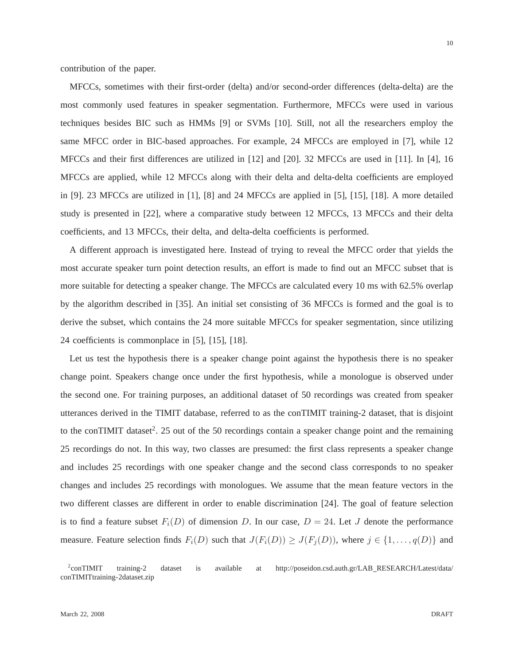contribution of the paper.

MFCCs, sometimes with their first-order (delta) and/or second-order differences (delta-delta) are the most commonly used features in speaker segmentation. Furthermore, MFCCs were used in various techniques besides BIC such as HMMs [9] or SVMs [10]. Still, not all the researchers employ the same MFCC order in BIC-based approaches. For example, 24 MFCCs are employed in [7], while 12 MFCCs and their first differences are utilized in [12] and [20]. 32 MFCCs are used in [11]. In [4], 16 MFCCs are applied, while 12 MFCCs along with their delta and delta-delta coefficients are employed in [9]. 23 MFCCs are utilized in [1], [8] and 24 MFCCs are applied in [5], [15], [18]. A more detailed study is presented in [22], where a comparative study between 12 MFCCs, 13 MFCCs and their delta coefficients, and 13 MFCCs, their delta, and delta-delta coefficients is performed.

A different approach is investigated here. Instead of trying to reveal the MFCC order that yields the most accurate speaker turn point detection results, an effort is made to find out an MFCC subset that is more suitable for detecting a speaker change. The MFCCs are calculated every 10 ms with 62.5% overlap by the algorithm described in [35]. An initial set consisting of 36 MFCCs is formed and the goal is to derive the subset, which contains the 24 more suitable MFCCs for speaker segmentation, since utilizing 24 coefficients is commonplace in [5], [15], [18].

Let us test the hypothesis there is a speaker change point against the hypothesis there is no speaker change point. Speakers change once under the first hypothesis, while a monologue is observed under the second one. For training purposes, an additional dataset of 50 recordings was created from speaker utterances derived in the TIMIT database, referred to as the conTIMIT training-2 dataset, that is disjoint to the conTIMIT dataset<sup>2</sup>. 25 out of the 50 recordings contain a speaker change point and the remaining 25 recordings do not. In this way, two classes are presumed: the first class represents a speaker change and includes 25 recordings with one speaker change and the second class corresponds to no speaker changes and includes 25 recordings with monologues. We assume that the mean feature vectors in the two different classes are different in order to enable discrimination [24]. The goal of feature selection is to find a feature subset  $F_i(D)$  of dimension D. In our case,  $D = 24$ . Let J denote the performance measure. Feature selection finds  $F_i(D)$  such that  $J(F_i(D)) \geq J(F_i(D))$ , where  $j \in \{1, \ldots, q(D)\}$  and

 $2$ conTIMIT training-2 dataset is available at http://poseidon.csd.auth.gr/LAB\_RESEARCH/Latest/data/ conTIMITtraining-2dataset.zip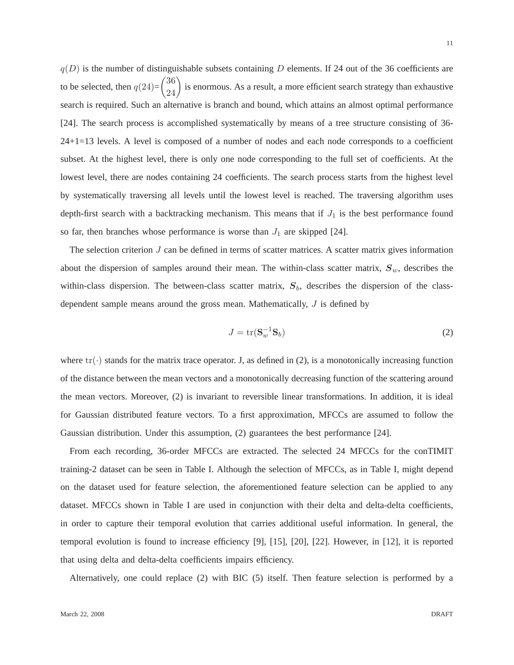$q(D)$  is the number of distinguishable subsets containing D elements. If 24 out of the 36 coefficients are to be selected, then  $q(24)$ =  $\binom{36}{24}$  is enormous. As a result, a more efficient search strategy than exhaustive search is required. Such an alternative is branch and bound, which attains an almost optimal performance [24]. The search process is accomplished systematically by means of a tree structure consisting of 36- 24+1=13 levels. A level is composed of a number of nodes and each node corresponds to a coefficient subset. At the highest level, there is only one node corresponding to the full set of coefficients. At the lowest level, there are nodes containing 24 coefficients. The search process starts from the highest level by systematically traversing all levels until the lowest level is reached. The traversing algorithm uses depth-first search with a backtracking mechanism. This means that if  $J_1$  is the best performance found so far, then branches whose performance is worse than  $J_1$  are skipped [24].

The selection criterion  $J$  can be defined in terms of scatter matrices. A scatter matrix gives information about the dispersion of samples around their mean. The within-class scatter matrix,  $S_w$ , describes the within-class dispersion. The between-class scatter matrix,  $S_b$ , describes the dispersion of the classdependent sample means around the gross mean. Mathematically, J is defined by

$$
J = \text{tr}(\mathbf{S}_w^{-1} \mathbf{S}_b) \tag{2}
$$

where  $\text{tr}(\cdot)$  stands for the matrix trace operator. J, as defined in (2), is a monotonically increasing function of the distance between the mean vectors and a monotonically decreasing function of the scattering around the mean vectors. Moreover, (2) is invariant to reversible linear transformations. In addition, it is ideal for Gaussian distributed feature vectors. To a first approximation, MFCCs are assumed to follow the Gaussian distribution. Under this assumption, (2) guarantees the best performance [24].

From each recording, 36-order MFCCs are extracted. The selected 24 MFCCs for the conTIMIT training-2 dataset can be seen in Table I. Although the selection of MFCCs, as in Table I, might depend on the dataset used for feature selection, the aforementioned feature selection can be applied to any dataset. MFCCs shown in Table I are used in conjunction with their delta and delta-delta coefficients, in order to capture their temporal evolution that carries additional useful information. In general, the temporal evolution is found to increase efficiency [9], [15], [20], [22]. However, in [12], it is reported that using delta and delta-delta coefficients impairs efficiency.

Alternatively, one could replace (2) with BIC (5) itself. Then feature selection is performed by a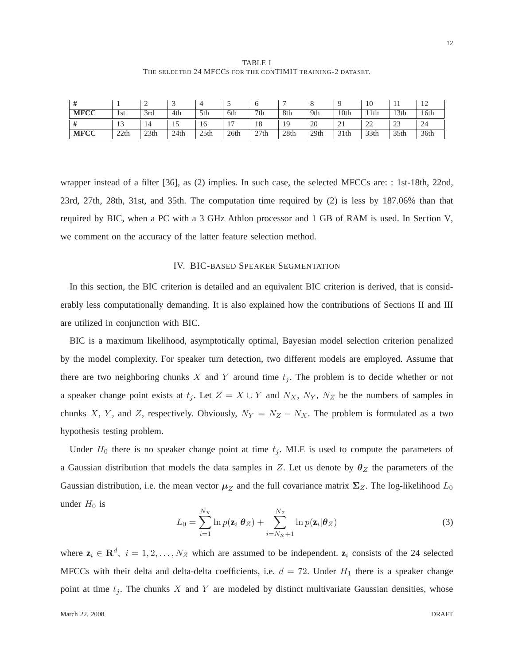TABLE I THE SELECTED 24 MFCCS FOR THE CONTIMIT TRAINING-2 DATASET.

|             |      | -                |      |      |                |      |      | $\circ$          |                  | 10               | . .              | $\overline{1}$ |
|-------------|------|------------------|------|------|----------------|------|------|------------------|------------------|------------------|------------------|----------------|
| <b>MFCC</b> | 1st  | 3rd              | 4th  | 5th  | 6th            | 7th  | 8th  | 9th              | 10 <sub>th</sub> | 11th             | 13th             | 16th           |
| $\prime$    | ຳ    | 14               | 1J   | 16   | $\blacksquare$ | 18   | 19   | 20               | ∠⊥               | $\bigcap$<br>∸   | $\cap$<br>ں کے   | 24             |
| <b>MFCC</b> | 22th | 23 <sub>th</sub> | 24th | 25th | 26th           | 27th | 28th | 29 <sub>th</sub> | 31 <sup>th</sup> | 33 <sub>th</sub> | 35 <sub>th</sub> | 36th           |

wrapper instead of a filter [36], as (2) implies. In such case, the selected MFCCs are: : 1st-18th, 22nd, 23rd, 27th, 28th, 31st, and 35th. The computation time required by (2) is less by 187.06% than that required by BIC, when a PC with a 3 GHz Athlon processor and 1 GB of RAM is used. In Section V, we comment on the accuracy of the latter feature selection method.

## IV. BIC-BASED SPEAKER SEGMENTATION

In this section, the BIC criterion is detailed and an equivalent BIC criterion is derived, that is considerably less computationally demanding. It is also explained how the contributions of Sections II and III are utilized in conjunction with BIC.

BIC is a maximum likelihood, asymptotically optimal, Bayesian model selection criterion penalized by the model complexity. For speaker turn detection, two different models are employed. Assume that there are two neighboring chunks X and Y around time  $t_i$ . The problem is to decide whether or not a speaker change point exists at  $t_j$ . Let  $Z = X \cup Y$  and  $N_X$ ,  $N_Y$ ,  $N_Z$  be the numbers of samples in chunks X, Y, and Z, respectively. Obviously,  $N_Y = N_Z - N_X$ . The problem is formulated as a two hypothesis testing problem.

Under  $H_0$  there is no speaker change point at time  $t_j$ . MLE is used to compute the parameters of a Gaussian distribution that models the data samples in Z. Let us denote by  $\theta_Z$  the parameters of the Gaussian distribution, i.e. the mean vector  $\mu_Z$  and the full covariance matrix  $\Sigma_Z$ . The log-likelihood  $L_0$ under  $H_0$  is

$$
L_0 = \sum_{i=1}^{N_X} \ln p(\mathbf{z}_i | \boldsymbol{\theta}_Z) + \sum_{i=N_X+1}^{N_Z} \ln p(\mathbf{z}_i | \boldsymbol{\theta}_Z)
$$
(3)

where  $z_i \in \mathbb{R}^d$ ,  $i = 1, 2, ..., N_Z$  which are assumed to be independent.  $z_i$  consists of the 24 selected MFCCs with their delta and delta-delta coefficients, i.e.  $d = 72$ . Under  $H_1$  there is a speaker change point at time  $t_j$ . The chunks X and Y are modeled by distinct multivariate Gaussian densities, whose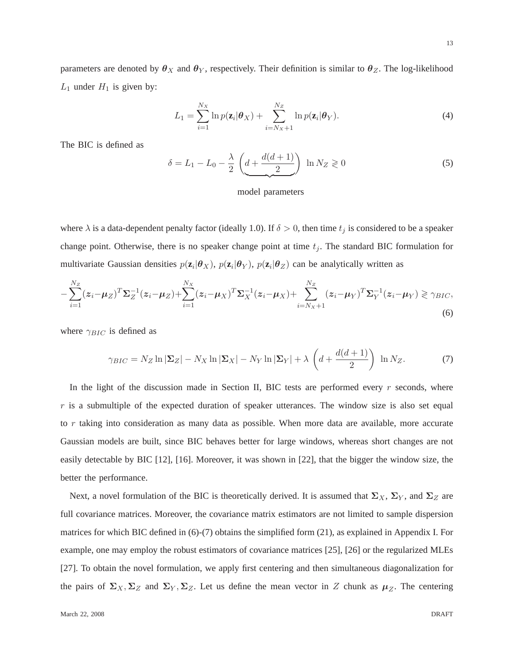parameters are denoted by  $\theta_X$  and  $\theta_Y$ , respectively. Their definition is similar to  $\theta_Z$ . The log-likelihood  $L_1$  under  $H_1$  is given by:

$$
L_1 = \sum_{i=1}^{N_X} \ln p(\mathbf{z}_i | \boldsymbol{\theta}_X) + \sum_{i=N_X+1}^{N_Z} \ln p(\mathbf{z}_i | \boldsymbol{\theta}_Y).
$$
\n(4)

The BIC is defined as

$$
\delta = L_1 - L_0 - \frac{\lambda}{2} \left( \underbrace{d + \frac{d(d+1)}{2}} \right) \ln N_Z \geq 0 \tag{5}
$$

## model parameters

where  $\lambda$  is a data-dependent penalty factor (ideally 1.0). If  $\delta > 0$ , then time  $t_j$  is considered to be a speaker change point. Otherwise, there is no speaker change point at time  $t_j$ . The standard BIC formulation for multivariate Gaussian densities  $p(\mathbf{z}_i|\boldsymbol{\theta}_X), p(\mathbf{z}_i|\boldsymbol{\theta}_Y), p(\mathbf{z}_i|\boldsymbol{\theta}_Z)$  can be analytically written as

$$
-\sum_{i=1}^{N_Z} (z_i - \mu_Z)^T \Sigma_Z^{-1} (z_i - \mu_Z) + \sum_{i=1}^{N_X} (z_i - \mu_X)^T \Sigma_X^{-1} (z_i - \mu_X) + \sum_{i=N_X+1}^{N_Z} (z_i - \mu_Y)^T \Sigma_Y^{-1} (z_i - \mu_Y) \ge \gamma_{BIC},\tag{6}
$$

where  $\gamma_{BIC}$  is defined as

$$
\gamma_{BIC} = N_Z \ln |\Sigma_Z| - N_X \ln |\Sigma_X| - N_Y \ln |\Sigma_Y| + \lambda \left( d + \frac{d(d+1)}{2} \right) \ln N_Z.
$$
 (7)

In the light of the discussion made in Section II, BIC tests are performed every  $r$  seconds, where  $r$  is a submultiple of the expected duration of speaker utterances. The window size is also set equal to r taking into consideration as many data as possible. When more data are available, more accurate Gaussian models are built, since BIC behaves better for large windows, whereas short changes are not easily detectable by BIC [12], [16]. Moreover, it was shown in [22], that the bigger the window size, the better the performance.

Next, a novel formulation of the BIC is theoretically derived. It is assumed that  $\Sigma_X$ ,  $\Sigma_Y$ , and  $\Sigma_Z$  are full covariance matrices. Moreover, the covariance matrix estimators are not limited to sample dispersion matrices for which BIC defined in (6)-(7) obtains the simplified form (21), as explained in Appendix I. For example, one may employ the robust estimators of covariance matrices [25], [26] or the regularized MLEs [27]. To obtain the novel formulation, we apply first centering and then simultaneous diagonalization for the pairs of  $\Sigma_X, \Sigma_Z$  and  $\Sigma_Y, \Sigma_Z$ . Let us define the mean vector in Z chunk as  $\mu_Z$ . The centering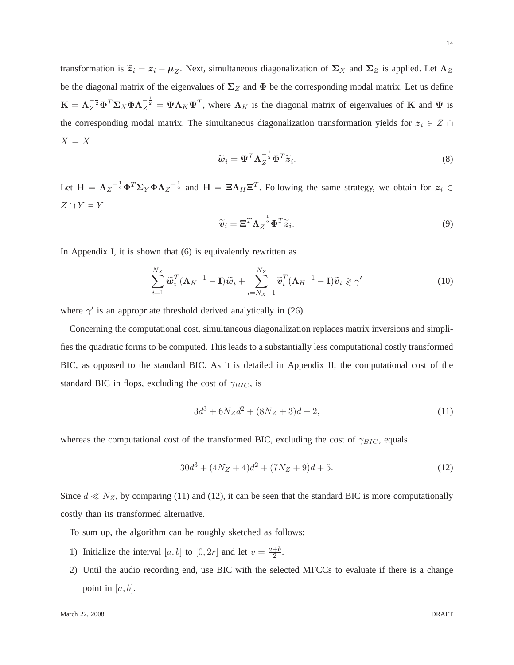transformation is  $\tilde{z}_i = z_i - \mu_Z$ . Next, simultaneous diagonalization of  $\Sigma_X$  and  $\Sigma_Z$  is applied. Let  $\Lambda_Z$ be the diagonal matrix of the eigenvalues of  $\Sigma_Z$  and  $\Phi$  be the corresponding modal matrix. Let us define  $\mathbf{K} = \mathbf{\Lambda}_Z^{-\frac{1}{2}} \mathbf{\Phi}^T \mathbf{\Sigma}_X \mathbf{\Phi} \mathbf{\Lambda}_Z^{-\frac{1}{2}} = \mathbf{\Psi} \mathbf{\Lambda}_K \mathbf{\Psi}^T$ , where  $\mathbf{\Lambda}_K$  is the diagonal matrix of eigenvalues of **K** and  $\mathbf{\Psi}$  is the corresponding modal matrix. The simultaneous diagonalization transformation yields for  $z_i \in Z \cap$  $X = X$ 

$$
\widetilde{\boldsymbol{w}}_i = \boldsymbol{\Psi}^T \boldsymbol{\Lambda}_Z^{-\frac{1}{2}} \boldsymbol{\Phi}^T \widetilde{\boldsymbol{z}}_i.
$$
\n(8)

Let  $H = \Lambda_Z^{-\frac{1}{2}} \Phi^T \Sigma_Y \Phi \Lambda_Z^{-\frac{1}{2}}$  and  $H = \Xi \Lambda_H \Xi^T$ . Following the same strategy, we obtain for  $z_i \in$  $Z \cap Y = Y$ 

$$
\widetilde{\boldsymbol{v}}_i = \boldsymbol{\Xi}^T \boldsymbol{\Lambda}_Z^{-\frac{1}{2}} \boldsymbol{\Phi}^T \widetilde{\boldsymbol{z}}_i.
$$
\n(9)

In Appendix I, it is shown that (6) is equivalently rewritten as

$$
\sum_{i=1}^{N_X} \widetilde{\boldsymbol{w}}_i^T (\boldsymbol{\Lambda}_K^{-1} - \mathbf{I}) \widetilde{\boldsymbol{w}}_i + \sum_{i=N_X+1}^{N_Z} \widetilde{\boldsymbol{v}}_i^T (\boldsymbol{\Lambda}_H^{-1} - \mathbf{I}) \widetilde{\boldsymbol{v}}_i \geqslant \gamma' \tag{10}
$$

where  $\gamma'$  is an appropriate threshold derived analytically in (26).

Concerning the computational cost, simultaneous diagonalization replaces matrix inversions and simplifies the quadratic forms to be computed. This leads to a substantially less computational costly transformed BIC, as opposed to the standard BIC. As it is detailed in Appendix II, the computational cost of the standard BIC in flops, excluding the cost of  $\gamma_{BIC}$ , is

$$
3d^3 + 6N_Zd^2 + (8N_Z + 3)d + 2,\tag{11}
$$

whereas the computational cost of the transformed BIC, excluding the cost of  $\gamma_{BIC}$ , equals

$$
30d^3 + (4N_Z + 4)d^2 + (7N_Z + 9)d + 5.
$$
 (12)

Since  $d \ll N_Z$ , by comparing (11) and (12), it can be seen that the standard BIC is more computationally costly than its transformed alternative.

To sum up, the algorithm can be roughly sketched as follows:

- 1) Initialize the interval [a, b] to [0, 2r] and let  $v = \frac{a+b}{2}$  $\frac{+b}{2}$ .
- 2) Until the audio recording end, use BIC with the selected MFCCs to evaluate if there is a change point in  $[a, b]$ .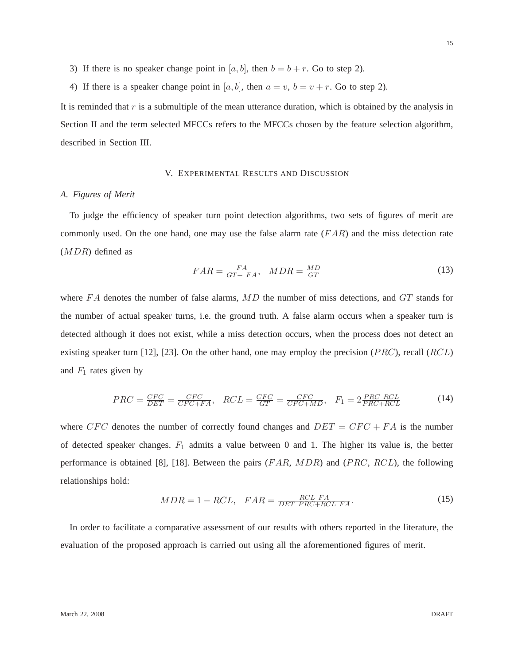- 3) If there is no speaker change point in [a, b], then  $b = b + r$ . Go to step 2).
- 4) If there is a speaker change point in [a, b], then  $a = v$ ,  $b = v + r$ . Go to step 2).

It is reminded that  $r$  is a submultiple of the mean utterance duration, which is obtained by the analysis in Section II and the term selected MFCCs refers to the MFCCs chosen by the feature selection algorithm, described in Section III.

# V. EXPERIMENTAL RESULTS AND DISCUSSION

# *A. Figures of Merit*

To judge the efficiency of speaker turn point detection algorithms, two sets of figures of merit are commonly used. On the one hand, one may use the false alarm rate  $(FAR)$  and the miss detection rate (MDR) defined as

$$
FAR = \frac{FA}{GT + FA}, \quad MDR = \frac{MD}{GT} \tag{13}
$$

where  $FA$  denotes the number of false alarms,  $MD$  the number of miss detections, and  $GT$  stands for the number of actual speaker turns, i.e. the ground truth. A false alarm occurs when a speaker turn is detected although it does not exist, while a miss detection occurs, when the process does not detect an existing speaker turn [12], [23]. On the other hand, one may employ the precision (*PRC*), recall (*RCL*) and  $F_1$  rates given by

$$
PRC = \frac{CFC}{DET} = \frac{CFC}{CFC + FA}, \quad RCL = \frac{CFC}{GT} = \frac{CFC}{CFC + MD}, \quad F_1 = 2\frac{PRC \quad RCL}{PRC + RCL}
$$
(14)

where CFC denotes the number of correctly found changes and  $DET = CFC + FA$  is the number of detected speaker changes.  $F_1$  admits a value between 0 and 1. The higher its value is, the better performance is obtained [8], [18]. Between the pairs  $(FAR, MDR)$  and  $(PRC, RCL)$ , the following relationships hold:

$$
MDR = 1 - RCL, \quad FAR = \frac{RCL \quad FA}{DET \quad PRC + RCL \quad FA}.\tag{15}
$$

In order to facilitate a comparative assessment of our results with others reported in the literature, the evaluation of the proposed approach is carried out using all the aforementioned figures of merit.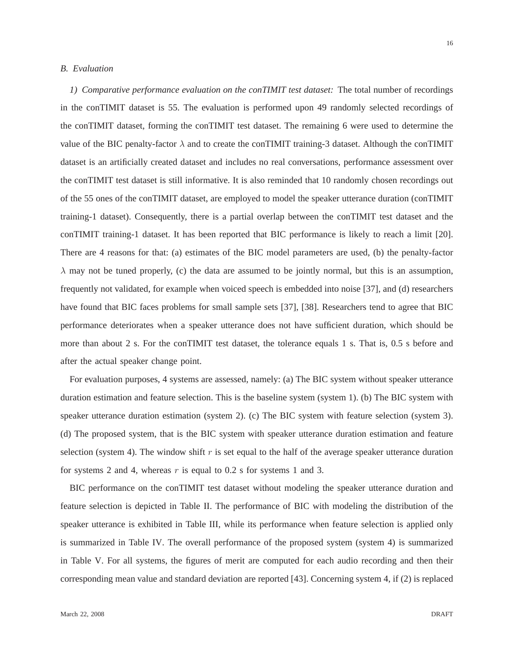# *B. Evaluation*

*1) Comparative performance evaluation on the conTIMIT test dataset:* The total number of recordings in the conTIMIT dataset is 55. The evaluation is performed upon 49 randomly selected recordings of the conTIMIT dataset, forming the conTIMIT test dataset. The remaining 6 were used to determine the value of the BIC penalty-factor  $\lambda$  and to create the conTIMIT training-3 dataset. Although the conTIMIT dataset is an artificially created dataset and includes no real conversations, performance assessment over the conTIMIT test dataset is still informative. It is also reminded that 10 randomly chosen recordings out of the 55 ones of the conTIMIT dataset, are employed to model the speaker utterance duration (conTIMIT training-1 dataset). Consequently, there is a partial overlap between the conTIMIT test dataset and the conTIMIT training-1 dataset. It has been reported that BIC performance is likely to reach a limit [20]. There are 4 reasons for that: (a) estimates of the BIC model parameters are used, (b) the penalty-factor  $\lambda$  may not be tuned properly, (c) the data are assumed to be jointly normal, but this is an assumption, frequently not validated, for example when voiced speech is embedded into noise [37], and (d) researchers have found that BIC faces problems for small sample sets [37], [38]. Researchers tend to agree that BIC performance deteriorates when a speaker utterance does not have sufficient duration, which should be more than about 2 s. For the conTIMIT test dataset, the tolerance equals 1 s. That is, 0.5 s before and after the actual speaker change point.

For evaluation purposes, 4 systems are assessed, namely: (a) The BIC system without speaker utterance duration estimation and feature selection. This is the baseline system (system 1). (b) The BIC system with speaker utterance duration estimation (system 2). (c) The BIC system with feature selection (system 3). (d) The proposed system, that is the BIC system with speaker utterance duration estimation and feature selection (system 4). The window shift r is set equal to the half of the average speaker utterance duration for systems 2 and 4, whereas  $r$  is equal to 0.2 s for systems 1 and 3.

BIC performance on the conTIMIT test dataset without modeling the speaker utterance duration and feature selection is depicted in Table II. The performance of BIC with modeling the distribution of the speaker utterance is exhibited in Table III, while its performance when feature selection is applied only is summarized in Table IV. The overall performance of the proposed system (system 4) is summarized in Table V. For all systems, the figures of merit are computed for each audio recording and then their corresponding mean value and standard deviation are reported [43]. Concerning system 4, if (2) is replaced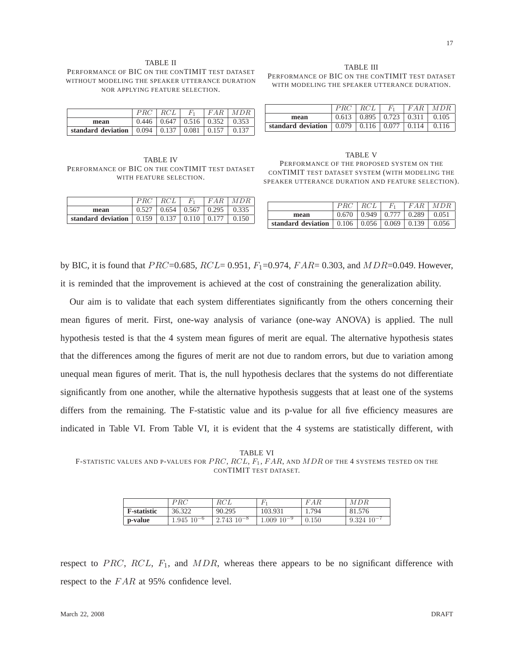#### TABLE II PERFORMANCE OF BIC ON THE CONTIMIT TEST DATASET WITHOUT MODELING THE SPEAKER UTTERANCE DURATION NOR APPLYING FEATURE SELECTION.

|                    |       | RCL   | $F_{1}$           | FAR   | MDR   |
|--------------------|-------|-------|-------------------|-------|-------|
| mean               | 0.446 | 0.647 | $0.516 \pm 0.352$ |       | 0.353 |
| standard deviation | 0.094 | 0.137 | 0.081             | 0.157 | 0.137 |

TABLE IV PERFORMANCE OF BIC ON THE CONTIMIT TEST DATASET WITH FEATURE SELECTION.

|                    | PRC   |       | $F_{1}$ | F A R | MDR   |
|--------------------|-------|-------|---------|-------|-------|
| mean               | 0.527 | 0.654 | 0.567   | 0.295 | 0.335 |
| standard deviation | 0.159 | 0.137 | 0.110   |       | 0.150 |

TABLE III PERFORMANCE OF BIC ON THE CONTIMIT TEST DATASET WITH MODELING THE SPEAKER UTTERANCE DURATION.

|                    | PR(   | RCL   | F.    | F A R | MDR   |
|--------------------|-------|-------|-------|-------|-------|
| mean               | 0.613 | 0.895 | 0.723 | 0.311 | 0.105 |
| standard deviation | 0.079 | 0.116 | 0.077 | 0.114 | 0.116 |

TABLE V PERFORMANCE OF THE PROPOSED SYSTEM ON THE CONTIMIT TEST DATASET SYSTEM (WITH MODELING THE SPEAKER UTTERANCE DURATION AND FEATURE SELECTION).

|                    |       | RCL   | $F_{1}$           | F A R | MDR   |
|--------------------|-------|-------|-------------------|-------|-------|
| mean               | 0.670 | 0.949 | 0.777             | 0.289 | 0.051 |
| standard deviation | 0.106 |       | $0.056 \pm 0.069$ | 0.139 | 0.056 |

by BIC, it is found that  $PRC = 0.685$ ,  $RCL = 0.951$ ,  $F_1 = 0.974$ ,  $F AR = 0.303$ , and  $MDR = 0.049$ . However, it is reminded that the improvement is achieved at the cost of constraining the generalization ability.

Our aim is to validate that each system differentiates significantly from the others concerning their mean figures of merit. First, one-way analysis of variance (one-way ANOVA) is applied. The null hypothesis tested is that the 4 system mean figures of merit are equal. The alternative hypothesis states that the differences among the figures of merit are not due to random errors, but due to variation among unequal mean figures of merit. That is, the null hypothesis declares that the systems do not differentiate significantly from one another, while the alternative hypothesis suggests that at least one of the systems differs from the remaining. The F-statistic value and its p-value for all five efficiency measures are indicated in Table VI. From Table VI, it is evident that the 4 systems are statistically different, with

TABLE VI F-STATISTIC VALUES AND P-VALUES FOR  $PRC$ ,  $RCL$ ,  $F_1$ ,  $FAR$ , and  $MDR$  of the 4 systems tested on the CONTIMIT TEST DATASET.

|                     | PRC                | RCL               |                  | FAR   | MDR             |
|---------------------|--------------------|-------------------|------------------|-------|-----------------|
| <b>F</b> -statistic | 36.322             | 90.295            | 103.931          | 1.794 | 81.576          |
| p-value             | $1.945 \; 10^{-6}$ | $2.743$ $10^{-8}$ | $1.009\ 10^{-9}$ | 0.150 | $9.324~10^{-7}$ |

respect to PRC, RCL,  $F_1$ , and MDR, whereas there appears to be no significant difference with respect to the FAR at 95% confidence level.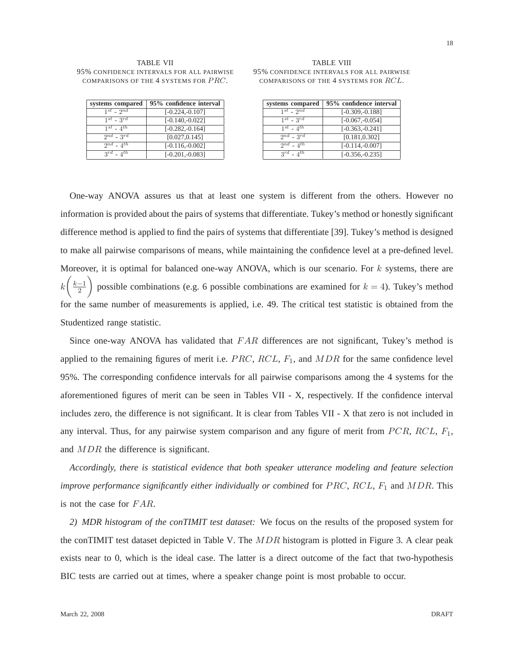#### TABLE VII 95% CONFIDENCE INTERVALS FOR ALL PAIRWISE COMPARISONS OF THE 4 SYSTEMS FOR PRC.

| systems compared    | 95% confidence interval |
|---------------------|-------------------------|
| $1^{st}$ - $2^{nd}$ | $[-0.224, -0.107]$      |
| $1^{st}$ - $3^{rd}$ | $[-0.140,-0.022]$       |
| $1^{st}$ - $4^{th}$ | $[-0.282, -0.164]$      |
| $2^{nd}$ - $3^{rd}$ | [0.027, 0.145]          |
| $2^{nd}$ - $4^{th}$ | $[-0.116,-0.002]$       |
| $3^{rd}$ - $4^{th}$ | $[-0.201, -0.083]$      |

| <b>TABLE VIII</b>                         |
|-------------------------------------------|
| 95% confidence intervals for all pairwise |
| COMPARISONS OF THE 4 SYSTEMS FOR RCL.     |

| systems compared    | 95% confidence interval |
|---------------------|-------------------------|
| $1^{st}$ - $2^{nd}$ | $[-0.309, -0.188]$      |
| $1^{st}$ - $3^{rd}$ | $[-0.067, -0.054]$      |
| $1^{st}$ - $4^{th}$ | $[-0.363, -0.241]$      |
| $2^{nd}$ - $3^{rd}$ | [0.181, 0.302]          |
| $2^{nd}$ - $4^{th}$ | $[-0.114,-0.007]$       |
| $3^{rd}$ - $4^{th}$ | $[-0.356, -0.235]$      |

One-way ANOVA assures us that at least one system is different from the others. However no information is provided about the pairs of systems that differentiate. Tukey's method or honestly significant difference method is applied to find the pairs of systems that differentiate [39]. Tukey's method is designed to make all pairwise comparisons of means, while maintaining the confidence level at a pre-defined level. Moreover, it is optimal for balanced one-way ANOVA, which is our scenario. For  $k$  systems, there are k  $\sqrt{ }$  $k-1$ 2  $\overline{ }$ possible combinations (e.g. 6 possible combinations are examined for  $k = 4$ ). Tukey's method for the same number of measurements is applied, i.e. 49. The critical test statistic is obtained from the Studentized range statistic.

Since one-way ANOVA has validated that  $FAR$  differences are not significant, Tukey's method is applied to the remaining figures of merit i.e.  $PRC$ ,  $RCL$ ,  $F_1$ , and  $MDR$  for the same confidence level 95%. The corresponding confidence intervals for all pairwise comparisons among the 4 systems for the aforementioned figures of merit can be seen in Tables VII - X, respectively. If the confidence interval includes zero, the difference is not significant. It is clear from Tables VII - X that zero is not included in any interval. Thus, for any pairwise system comparison and any figure of merit from  $PCR$ ,  $RCL$ ,  $F_1$ , and MDR the difference is significant.

*Accordingly, there is statistical evidence that both speaker utterance modeling and feature selection improve performance significantly either individually or combined* for  $PRC$ ,  $RCL$ ,  $F_1$  and  $MDR$ . This is not the case for FAR.

*2) MDR histogram of the conTIMIT test dataset:* We focus on the results of the proposed system for the conTIMIT test dataset depicted in Table V. The  $MDR$  histogram is plotted in Figure 3. A clear peak exists near to 0, which is the ideal case. The latter is a direct outcome of the fact that two-hypothesis BIC tests are carried out at times, where a speaker change point is most probable to occur.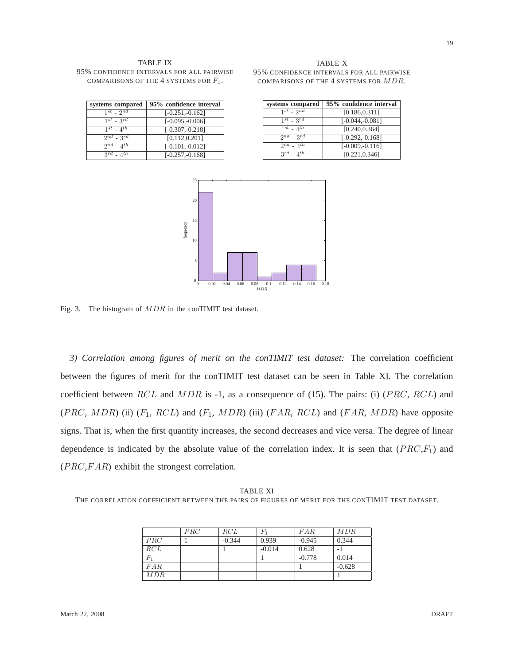#### TABLE IX 95% CONFIDENCE INTERVALS FOR ALL PAIRWISE COMPARISONS OF THE 4 SYSTEMS FOR  $F_1$ .

| systems compared    | 95% confidence interval |
|---------------------|-------------------------|
| $1^{st}$ - $2^{nd}$ | $[-0.251, -0.162]$      |
| $1^{st}$ - $3^{rd}$ | $[-0.095, -0.006]$      |
| $1^{st}$ - $4^{th}$ | $[-0.307, -0.218]$      |
| $2^{nd}$ - $3^{rd}$ | [0.112, 0.201]          |
| $2^{nd}$ - $4^{th}$ | $[-0.101,-0.012]$       |
| $3^{rd}$ - $4^{th}$ | $[-0.257, -0.168]$      |

| TABLE X                                   |
|-------------------------------------------|
| 95% confidence intervals for all pairwise |
| COMPARISONS OF THE 4 SYSTEMS FOR MDR.     |

| systems compared    | 95% confidence interval |
|---------------------|-------------------------|
| $1^{st}$ - $2^{nd}$ | [0.186, 0.311]          |
| $1^{st}$ - $3^{rd}$ | $[-0.044, -0.081]$      |
| $1^{st}$ - $4^{th}$ | [0.240, 0.364]          |
| $2^{nd}$ - $3^{rd}$ | $[-0.292, -0.168]$      |
| $2^{nd}$ - $4^{th}$ | $[-0.009,-0.116]$       |
| $3^{rd}$ - $4^{th}$ | [0.221, 0.346]          |



Fig. 3. The histogram of MDR in the conTIMIT test dataset.

*3) Correlation among figures of merit on the conTIMIT test dataset:* The correlation coefficient between the figures of merit for the conTIMIT test dataset can be seen in Table XI. The correlation coefficient between RCL and MDR is -1, as a consequence of (15). The pairs: (i) (PRC, RCL) and (PRC, MDR) (ii)  $(F_1, RCL)$  and  $(F_1, MDR)$  (iii)  $(FAR, RCL)$  and  $(FAR, MDR)$  have opposite signs. That is, when the first quantity increases, the second decreases and vice versa. The degree of linear dependence is indicated by the absolute value of the correlation index. It is seen that  $(PRC,F<sub>1</sub>)$  and  $(PRC, FAR)$  exhibit the strongest correlation.

TABLE XI THE CORRELATION COEFFICIENT BETWEEN THE PAIRS OF FIGURES OF MERIT FOR THE CONTIMIT TEST DATASET.

|       | PRC | RCL      | Fı       | FAR      | MDR      |
|-------|-----|----------|----------|----------|----------|
| PRC   |     | $-0.344$ | 0.939    | $-0.945$ | 0.344    |
| RCL   |     |          | $-0.014$ | 0.628    | ÷.       |
| $F_1$ |     |          |          | $-0.778$ | 0.014    |
| FAR   |     |          |          |          | $-0.628$ |
| MDR   |     |          |          |          |          |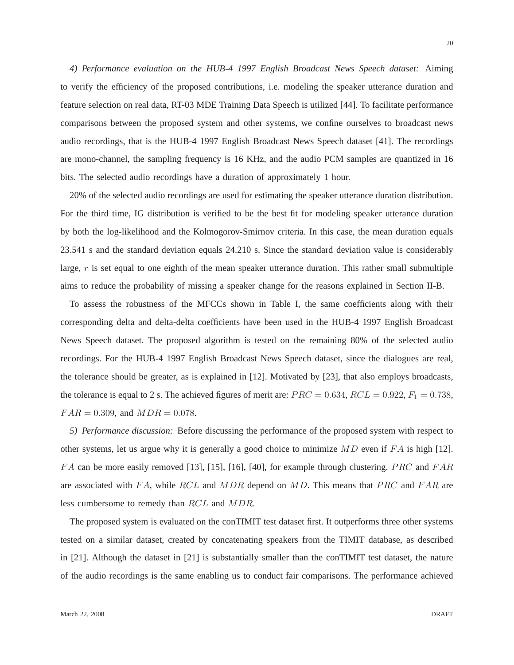*4) Performance evaluation on the HUB-4 1997 English Broadcast News Speech dataset:* Aiming to verify the efficiency of the proposed contributions, i.e. modeling the speaker utterance duration and feature selection on real data, RT-03 MDE Training Data Speech is utilized [44]. To facilitate performance comparisons between the proposed system and other systems, we confine ourselves to broadcast news audio recordings, that is the HUB-4 1997 English Broadcast News Speech dataset [41]. The recordings are mono-channel, the sampling frequency is 16 KHz, and the audio PCM samples are quantized in 16 bits. The selected audio recordings have a duration of approximately 1 hour.

20% of the selected audio recordings are used for estimating the speaker utterance duration distribution. For the third time, IG distribution is verified to be the best fit for modeling speaker utterance duration by both the log-likelihood and the Kolmogorov-Smirnov criteria. In this case, the mean duration equals 23.541 s and the standard deviation equals 24.210 s. Since the standard deviation value is considerably large,  $r$  is set equal to one eighth of the mean speaker utterance duration. This rather small submultiple aims to reduce the probability of missing a speaker change for the reasons explained in Section II-B.

To assess the robustness of the MFCCs shown in Table I, the same coefficients along with their corresponding delta and delta-delta coefficients have been used in the HUB-4 1997 English Broadcast News Speech dataset. The proposed algorithm is tested on the remaining 80% of the selected audio recordings. For the HUB-4 1997 English Broadcast News Speech dataset, since the dialogues are real, the tolerance should be greater, as is explained in [12]. Motivated by [23], that also employs broadcasts, the tolerance is equal to 2 s. The achieved figures of merit are:  $PRC = 0.634$ ,  $RCL = 0.922$ ,  $F_1 = 0.738$ ,  $FAR = 0.309$ , and  $MDR = 0.078$ .

*5) Performance discussion:* Before discussing the performance of the proposed system with respect to other systems, let us argue why it is generally a good choice to minimize  $MD$  even if  $FA$  is high [12]. FA can be more easily removed [13], [15], [16], [40], for example through clustering. PRC and FAR are associated with  $FA$ , while  $RCL$  and  $MDR$  depend on  $MD$ . This means that  $PRC$  and  $FAR$  are less cumbersome to remedy than RCL and MDR.

The proposed system is evaluated on the conTIMIT test dataset first. It outperforms three other systems tested on a similar dataset, created by concatenating speakers from the TIMIT database, as described in [21]. Although the dataset in [21] is substantially smaller than the conTIMIT test dataset, the nature of the audio recordings is the same enabling us to conduct fair comparisons. The performance achieved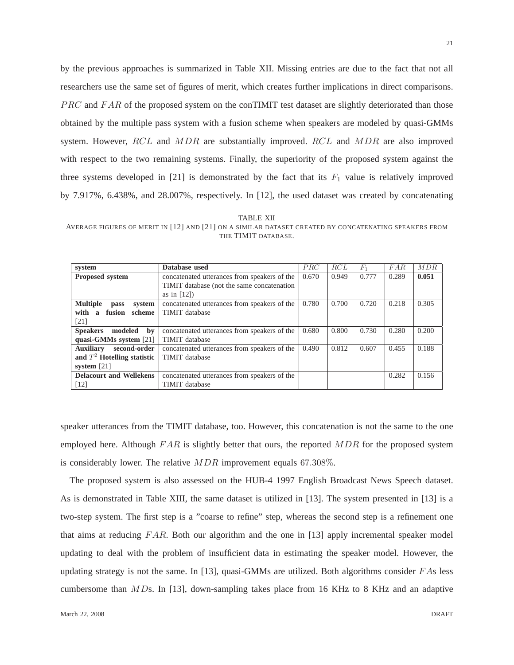by the previous approaches is summarized in Table XII. Missing entries are due to the fact that not all researchers use the same set of figures of merit, which creates further implications in direct comparisons. PRC and FAR of the proposed system on the conTIMIT test dataset are slightly deteriorated than those obtained by the multiple pass system with a fusion scheme when speakers are modeled by quasi-GMMs system. However, RCL and MDR are substantially improved. RCL and MDR are also improved with respect to the two remaining systems. Finally, the superiority of the proposed system against the three systems developed in [21] is demonstrated by the fact that its  $F_1$  value is relatively improved by 7.917%, 6.438%, and 28.007%, respectively. In [12], the used dataset was created by concatenating

| TABLE XII                                                                                             |  |
|-------------------------------------------------------------------------------------------------------|--|
| AVERAGE FIGURES OF MERIT IN [12] AND [21] ON A SIMILAR DATASET CREATED BY CONCATENATING SPEAKERS FROM |  |
| THE TIMIT DATABASE.                                                                                   |  |

| system                                   | Database used                                | PRC   | RCL   | $F_1$ | FAR   | MDR   |
|------------------------------------------|----------------------------------------------|-------|-------|-------|-------|-------|
| <b>Proposed system</b>                   | concatenated utterances from speakers of the | 0.670 | 0.949 | 0.777 | 0.289 | 0.051 |
|                                          | TIMIT database (not the same concatenation   |       |       |       |       |       |
|                                          | as in $[12]$                                 |       |       |       |       |       |
| <b>Multiple</b><br>system<br>pass        | concatenated utterances from speakers of the | 0.780 | 0.700 | 0.720 | 0.218 | 0.305 |
| with<br>fusion<br>scheme<br>$\mathbf{a}$ | <b>TIMIT</b> database                        |       |       |       |       |       |
| [21]                                     |                                              |       |       |       |       |       |
| <b>Speakers</b><br>modeled<br>by         | concatenated utterances from speakers of the | 0.680 | 0.800 | 0.730 | 0.280 | 0.200 |
| quasi-GMMs system [21]                   | <b>TIMIT</b> database                        |       |       |       |       |       |
| second-order<br><b>Auxiliary</b>         | concatenated utterances from speakers of the | 0.490 | 0.812 | 0.607 | 0.455 | 0.188 |
| and $T^2$ Hotelling statistic            | <b>TIMIT</b> database                        |       |       |       |       |       |
| system $[21]$                            |                                              |       |       |       |       |       |
| <b>Delacourt and Wellekens</b>           | concatenated utterances from speakers of the |       |       |       | 0.282 | 0.156 |
| [12]                                     | TIMIT database                               |       |       |       |       |       |

speaker utterances from the TIMIT database, too. However, this concatenation is not the same to the one employed here. Although  $FAR$  is slightly better that ours, the reported  $MDR$  for the proposed system is considerably lower. The relative MDR improvement equals 67.308%.

The proposed system is also assessed on the HUB-4 1997 English Broadcast News Speech dataset. As is demonstrated in Table XIII, the same dataset is utilized in [13]. The system presented in [13] is a two-step system. The first step is a "coarse to refine" step, whereas the second step is a refinement one that aims at reducing  $FAR$ . Both our algorithm and the one in [13] apply incremental speaker model updating to deal with the problem of insufficient data in estimating the speaker model. However, the updating strategy is not the same. In [13], quasi-GMMs are utilized. Both algorithms consider  $FAs$  less cumbersome than  $MDs$ . In [13], down-sampling takes place from 16 KHz to 8 KHz and an adaptive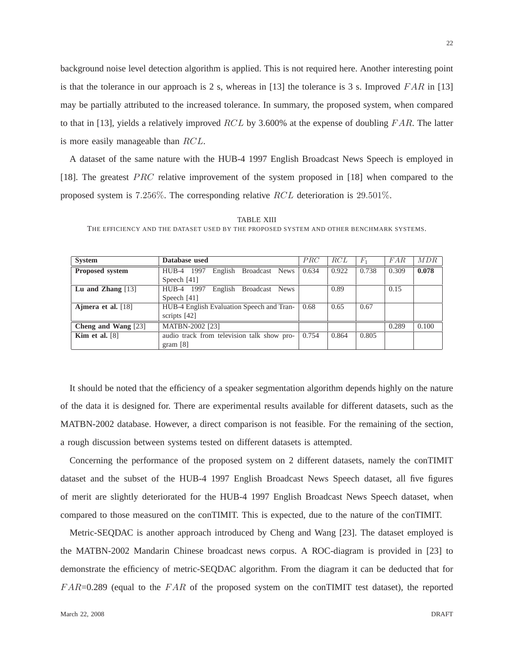background noise level detection algorithm is applied. This is not required here. Another interesting point is that the tolerance in our approach is 2 s, whereas in [13] the tolerance is 3 s. Improved  $FAR$  in [13] may be partially attributed to the increased tolerance. In summary, the proposed system, when compared to that in [13], yields a relatively improved  $RCL$  by 3.600% at the expense of doubling  $FAR$ . The latter is more easily manageable than RCL.

A dataset of the same nature with the HUB-4 1997 English Broadcast News Speech is employed in [18]. The greatest *PRC* relative improvement of the system proposed in [18] when compared to the proposed system is 7.256%. The corresponding relative RCL deterioration is 29.501%.

| <b>System</b>        | Database used                              | PRC   | RCL   | $F_1$ | FAR   | MDR   |
|----------------------|--------------------------------------------|-------|-------|-------|-------|-------|
| Proposed system      | Broadcast News<br>HUB-4 1997<br>English    | 0.634 | 0.922 | 0.738 | 0.309 | 0.078 |
|                      | Speech $[41]$                              |       |       |       |       |       |
| Lu and Zhang $[13]$  | HUB-4 1997<br>English<br>Broadcast News    |       | 0.89  |       | 0.15  |       |
|                      | Speech $[41]$                              |       |       |       |       |       |
| Ajmera et al. $[18]$ | HUB-4 English Evaluation Speech and Tran-  | 0.68  | 0.65  | 0.67  |       |       |
|                      | scripts $[42]$                             |       |       |       |       |       |
| Cheng and Wang [23]  | MATBN-2002 [23]                            |       |       |       | 0.289 | 0.100 |
| Kim et al. $[8]$     | audio track from television talk show pro- | 0.754 | 0.864 | 0.805 |       |       |
|                      | gram $[8]$                                 |       |       |       |       |       |

TABLE XIII

THE EFFICIENCY AND THE DATASET USED BY THE PROPOSED SYSTEM AND OTHER BENCHMARK SYSTEMS.

It should be noted that the efficiency of a speaker segmentation algorithm depends highly on the nature of the data it is designed for. There are experimental results available for different datasets, such as the MATBN-2002 database. However, a direct comparison is not feasible. For the remaining of the section, a rough discussion between systems tested on different datasets is attempted.

Concerning the performance of the proposed system on 2 different datasets, namely the conTIMIT dataset and the subset of the HUB-4 1997 English Broadcast News Speech dataset, all five figures of merit are slightly deteriorated for the HUB-4 1997 English Broadcast News Speech dataset, when compared to those measured on the conTIMIT. This is expected, due to the nature of the conTIMIT.

Metric-SEQDAC is another approach introduced by Cheng and Wang [23]. The dataset employed is the MATBN-2002 Mandarin Chinese broadcast news corpus. A ROC-diagram is provided in [23] to demonstrate the efficiency of metric-SEQDAC algorithm. From the diagram it can be deducted that for  $FAR=0.289$  (equal to the  $FAR$  of the proposed system on the conTIMIT test dataset), the reported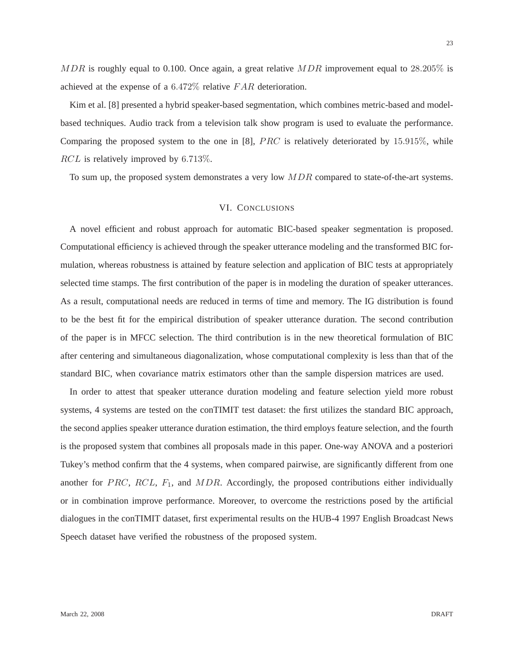$MDR$  is roughly equal to 0.100. Once again, a great relative  $MDR$  improvement equal to 28.205% is achieved at the expense of a 6.472% relative F AR deterioration.

Kim et al. [8] presented a hybrid speaker-based segmentation, which combines metric-based and modelbased techniques. Audio track from a television talk show program is used to evaluate the performance. Comparing the proposed system to the one in [8],  $PRC$  is relatively deteriorated by 15.915%, while RCL is relatively improved by 6.713\%.

To sum up, the proposed system demonstrates a very low  $MDR$  compared to state-of-the-art systems.

## VI. CONCLUSIONS

A novel efficient and robust approach for automatic BIC-based speaker segmentation is proposed. Computational efficiency is achieved through the speaker utterance modeling and the transformed BIC formulation, whereas robustness is attained by feature selection and application of BIC tests at appropriately selected time stamps. The first contribution of the paper is in modeling the duration of speaker utterances. As a result, computational needs are reduced in terms of time and memory. The IG distribution is found to be the best fit for the empirical distribution of speaker utterance duration. The second contribution of the paper is in MFCC selection. The third contribution is in the new theoretical formulation of BIC after centering and simultaneous diagonalization, whose computational complexity is less than that of the standard BIC, when covariance matrix estimators other than the sample dispersion matrices are used.

In order to attest that speaker utterance duration modeling and feature selection yield more robust systems, 4 systems are tested on the conTIMIT test dataset: the first utilizes the standard BIC approach, the second applies speaker utterance duration estimation, the third employs feature selection, and the fourth is the proposed system that combines all proposals made in this paper. One-way ANOVA and a posteriori Tukey's method confirm that the 4 systems, when compared pairwise, are significantly different from one another for PRC, RCL,  $F_1$ , and MDR. Accordingly, the proposed contributions either individually or in combination improve performance. Moreover, to overcome the restrictions posed by the artificial dialogues in the conTIMIT dataset, first experimental results on the HUB-4 1997 English Broadcast News Speech dataset have verified the robustness of the proposed system.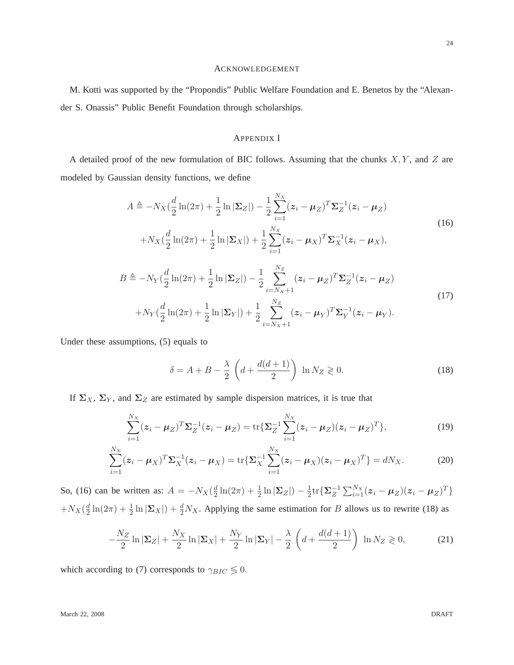## ACKNOWLEDGEMENT

M. Kotti was supported by the "Propondis" Public Welfare Foundation and E. Benetos by the "Alexander S. Onassis" Public Benefit Foundation through scholarships.

# APPENDIX I

A detailed proof of the new formulation of BIC follows. Assuming that the chunks  $X, Y$ , and  $Z$  are modeled by Gaussian density functions, we define

$$
A \triangleq -N_X(\frac{d}{2}\ln(2\pi) + \frac{1}{2}\ln|\Sigma_Z|) - \frac{1}{2}\sum_{i=1}^{N_X}(z_i - \mu_Z)^T \Sigma_Z^{-1}(z_i - \mu_Z)
$$
  
+
$$
N_X(\frac{d}{2}\ln(2\pi) + \frac{1}{2}\ln|\Sigma_X|) + \frac{1}{2}\sum_{i=1}^{N_X}(z_i - \mu_X)^T \Sigma_X^{-1}(z_i - \mu_X),
$$
  

$$
B \triangleq -N_Y(\frac{d}{2}\ln(2\pi) + \frac{1}{2}\ln|\Sigma_Z|) - \frac{1}{2}\sum_{i=N_X+1}^{N_Z}(z_i - \mu_Z)^T \Sigma_Z^{-1}(z_i - \mu_Z)
$$
  
+
$$
N_Y(\frac{d}{2}\ln(2\pi) + \frac{1}{2}\ln|\Sigma_Y|) + \frac{1}{2}\sum_{i=N_X+1}^{N_Z}(z_i - \mu_Y)^T \Sigma_Y^{-1}(z_i - \mu_Y).
$$
  
(17)

 $i=N_X+1$ 

Under these assumptions, (5) equals to

$$
\delta = A + B - \frac{\lambda}{2} \left( d + \frac{d(d+1)}{2} \right) \ln N_Z \geq 0. \tag{18}
$$

If  $\Sigma_X$ ,  $\Sigma_Y$ , and  $\Sigma_Z$  are estimated by sample dispersion matrices, it is true that

$$
\sum_{i=1}^{N_X} (z_i - \mu_Z)^T \Sigma_Z^{-1} (z_i - \mu_Z) = \text{tr} \{ \Sigma_Z^{-1} \sum_{i=1}^{N_X} (z_i - \mu_Z)(z_i - \mu_Z)^T \},
$$
(19)

$$
\sum_{i=1}^{N_X} (z_i - \mu_X)^T \Sigma_X^{-1} (z_i - \mu_X) = \text{tr} \{ \Sigma_X^{-1} \sum_{i=1}^{N_X} (z_i - \mu_X)(z_i - \mu_X)^T \} = dN_X.
$$
 (20)

So, (16) can be written as:  $A = -N_X(\frac{d}{2})$  $\frac{d}{2}\ln(2\pi) + \frac{1}{2}\ln|\Sigma_Z| - \frac{1}{2}$  $\frac{1}{2}\mathrm{tr}\{\mathbf{\Sigma}_{Z}^{-1}\sum_{i=1}^{N_{X}}(\boldsymbol{z}_{i}-\boldsymbol{\mu}_{Z})(\boldsymbol{z}_{i}-\boldsymbol{\mu}_{Z})^{T}\}$  $+N_X(\frac{d}{2})$  $\frac{d}{2}\ln(2\pi) + \frac{1}{2}\ln|\Sigma_X| + \frac{d}{2}N_X$ . Applying the same estimation for B allows us to rewrite (18) as

$$
-\frac{N_Z}{2}\ln|\Sigma_Z| + \frac{N_X}{2}\ln|\Sigma_X| + \frac{N_Y}{2}\ln|\Sigma_Y| - \frac{\lambda}{2}\left(d + \frac{d(d+1)}{2}\right)\ln N_Z \ge 0,\tag{21}
$$

which according to (7) corresponds to  $\gamma_{BIC} \lessgtr 0$ .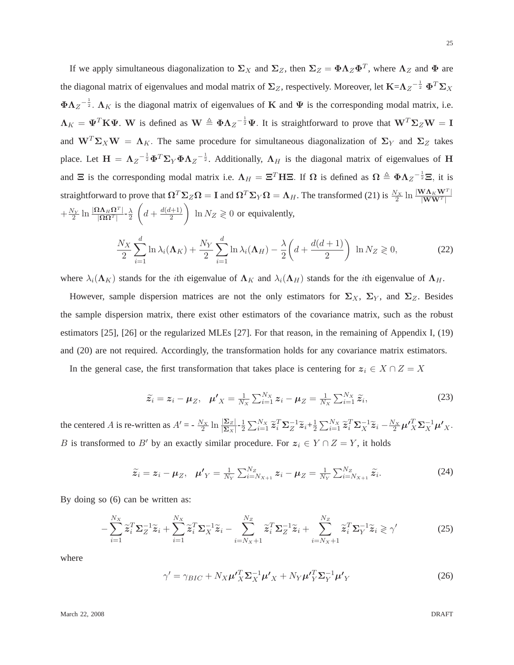If we apply simultaneous diagonalization to  $\Sigma_X$  and  $\Sigma_Z$ , then  $\Sigma_Z = \Phi \Lambda_Z \Phi^T$ , where  $\Lambda_Z$  and  $\Phi$  are the diagonal matrix of eigenvalues and modal matrix of  $\Sigma_Z$ , respectively. Moreover, let  $K = \Lambda_Z^{-\frac{1}{2}} \Phi^T \Sigma_X$  $\Phi \Lambda_Z^{-\frac{1}{2}}$ .  $\Lambda_K$  is the diagonal matrix of eigenvalues of K and  $\Psi$  is the corresponding modal matrix, i.e.  $\Lambda_K = \Psi^T \mathbf{K} \Psi$ . W is defined as  $\mathbf{W} \triangleq \Phi \Lambda_Z^{-\frac{1}{2}} \Psi$ . It is straightforward to prove that  $\mathbf{W}^T \Sigma_Z \mathbf{W} = \mathbf{I}$ and  $W^T \Sigma_X W = \Lambda_K$ . The same procedure for simultaneous diagonalization of  $\Sigma_Y$  and  $\Sigma_Z$  takes place. Let  $H = \Lambda_Z^{-\frac{1}{2}} \Phi^T \Sigma_Y \Phi \Lambda_Z^{-\frac{1}{2}}$ . Additionally,  $\Lambda_H$  is the diagonal matrix of eigenvalues of H and  $\Xi$  is the corresponding modal matrix i.e.  $\Lambda_H = \Xi^T H \Xi$ . If  $\Omega$  is defined as  $\Omega \triangleq \Phi \Lambda_Z^{-\frac{1}{2}} \Xi$ , it is straightforward to prove that  $\Omega^T \Sigma_Z \Omega = \mathbf{I}$  and  $\Omega^T \Sigma_Y \Omega = \Lambda_H$ . The transformed (21) is  $\frac{N_X}{2} \ln \frac{|\mathbf{W} \Lambda_K \mathbf{W}^T|}{|\mathbf{W} \mathbf{W}^T|}$  $+\frac{N_Y}{2}$  $\frac{N_Y}{2}$   $\ln \frac{|\mathbf{\Omega}\mathbf{\Lambda}_H\mathbf{\Omega}^T|}{|\mathbf{\Omega}\mathbf{\Omega}^T|}$ - $\frac{\lambda}{2}$ 2  $\sqrt{ }$  $d + \frac{d(d+1)}{2}$ 2  $\overline{ }$  $\ln N_Z \geqslant 0$  or equivalently,

$$
\frac{N_X}{2} \sum_{i=1}^d \ln \lambda_i(\mathbf{\Lambda}_K) + \frac{N_Y}{2} \sum_{i=1}^d \ln \lambda_i(\mathbf{\Lambda}_H) - \frac{\lambda}{2} \left( d + \frac{d(d+1)}{2} \right) \ln N_Z \geq 0,
$$
\n(22)

where  $\lambda_i(\mathbf{\Lambda}_K)$  stands for the *i*th eigenvalue of  $\mathbf{\Lambda}_K$  and  $\lambda_i(\mathbf{\Lambda}_H)$  stands for the *i*th eigenvalue of  $\mathbf{\Lambda}_H$ .

However, sample dispersion matrices are not the only estimators for  $\Sigma_X$ ,  $\Sigma_Y$ , and  $\Sigma_Z$ . Besides the sample dispersion matrix, there exist other estimators of the covariance matrix, such as the robust estimators [25], [26] or the regularized MLEs [27]. For that reason, in the remaining of Appendix I, (19) and (20) are not required. Accordingly, the transformation holds for any covariance matrix estimators.

In the general case, the first transformation that takes place is centering for  $z_i \in X \cap Z = X$ 

$$
\widetilde{z}_i = z_i - \mu_Z, \quad \mu'_X = \frac{1}{N_X} \sum_{i=1}^{N_X} z_i - \mu_Z = \frac{1}{N_X} \sum_{i=1}^{N_X} \widetilde{z}_i,
$$
\n(23)

the centered A is re-written as  $A' = -\frac{N_X}{2}$  $\frac{N_X}{2}$  ln  $\frac{|\Sigma_Z|}{|\Sigma_X|}$ - $\frac{1}{2}$  $\frac{1}{2}\sum_{i=1}^{N_X}\widetilde{\boldsymbol{z}}_i^T\boldsymbol{\Sigma}_Z^{-1}\widetilde{\boldsymbol{z}}_i+\frac{1}{2}$  $\frac{1}{2} \sum_{i=1}^{N_X} \widetilde{\mathbf{z}}_i^T \mathbf{\Sigma}_X^{-1} \widetilde{\mathbf{z}}_i - \frac{N_X}{2} \boldsymbol{\mu'}_X^T \mathbf{\Sigma}_X^{-1} \boldsymbol{\mu'}_X.$ B is transformed to B' by an exactly similar procedure. For  $z_i \in Y \cap Z = Y$ , it holds

$$
\widetilde{z}_i = z_i - \mu_Z, \quad \mu'_Y = \frac{1}{N_Y} \sum_{i=N_{X+1}}^{N_Z} z_i - \mu_Z = \frac{1}{N_Y} \sum_{i=N_{X+1}}^{N_Z} \widetilde{z}_i.
$$

By doing so (6) can be written as:

$$
-\sum_{i=1}^{N_X} \widetilde{\mathbf{z}}_i^T \mathbf{\Sigma}_Z^{-1} \widetilde{\mathbf{z}}_i + \sum_{i=1}^{N_X} \widetilde{\mathbf{z}}_i^T \mathbf{\Sigma}_X^{-1} \widetilde{\mathbf{z}}_i - \sum_{i=N_X+1}^{N_Z} \widetilde{\mathbf{z}}_i^T \mathbf{\Sigma}_Z^{-1} \widetilde{\mathbf{z}}_i + \sum_{i=N_X+1}^{N_Z} \widetilde{\mathbf{z}}_i^T \mathbf{\Sigma}_Y^{-1} \widetilde{\mathbf{z}}_i \ge \gamma' \tag{25}
$$

where

$$
\gamma' = \gamma_{BIC} + N_X \mu'_{X}^T \Sigma_X^{-1} \mu'_{X} + N_Y \mu'_{Y}^T \Sigma_Y^{-1} \mu'_{Y}
$$
\n(26)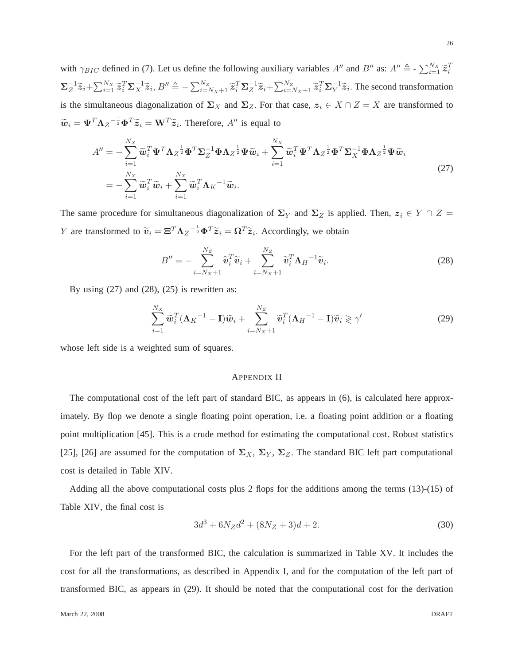with  $\gamma_{BIC}$  defined in (7). Let us define the following auxiliary variables  $A''$  and  $B''$  as:  $A'' \triangleq -\sum_{i=1}^{N_X} \tilde{z}_i^T$  $\sum_{i=1}^{-1} \widetilde{\mathbf{z}}_i + \sum_{i=1}^{N_X} \widetilde{\mathbf{z}}_i^T \mathbf{\Sigma}_X^{-1} \widetilde{\mathbf{z}}_i$ ,  $B'' \triangleq -\sum_{i=N_X+1}^{N_Z} \widetilde{\mathbf{z}}_i^T \mathbf{\Sigma}_Z^{-1} \widetilde{\mathbf{z}}_i + \sum_{i=N_X+1}^{N_Z} \widetilde{\mathbf{z}}_i^T \mathbf{\Sigma}_Y^{-1} \widetilde{\mathbf{z}}_i$ . The second transformation is the simultaneous diagonalization of  $\Sigma_X$  and  $\Sigma_Z$ . For that case,  $z_i \in X \cap Z = X$  are transformed to  $\widetilde{\boldsymbol{w}}_i = \boldsymbol{\Psi}^T \boldsymbol{\Lambda}_Z^{-\frac{1}{2}} \boldsymbol{\Phi}^T \widetilde{\boldsymbol{z}}_i = \boldsymbol{\mathbf{W}}^T \widetilde{\boldsymbol{z}}_i$ . Therefore,  $A''$  is equal to

$$
A'' = -\sum_{i=1}^{N_X} \widetilde{\boldsymbol{w}}_i^T \boldsymbol{\Psi}^T \boldsymbol{\Lambda}_Z^{\frac{1}{2}} \boldsymbol{\Phi}^T \boldsymbol{\Sigma}_Z^{-1} \boldsymbol{\Phi} \boldsymbol{\Lambda}_Z^{\frac{1}{2}} \boldsymbol{\Psi} \widetilde{\boldsymbol{w}}_i + \sum_{i=1}^{N_X} \widetilde{\boldsymbol{w}}_i^T \boldsymbol{\Psi}^T \boldsymbol{\Lambda}_Z^{\frac{1}{2}} \boldsymbol{\Phi}^T \boldsymbol{\Sigma}_X^{-1} \boldsymbol{\Phi} \boldsymbol{\Lambda}_Z^{\frac{1}{2}} \boldsymbol{\Psi} \widetilde{\boldsymbol{w}}_i
$$
  
= 
$$
-\sum_{i=1}^{N_X} \widetilde{\boldsymbol{w}}_i^T \widetilde{\boldsymbol{w}}_i + \sum_{i=1}^{N_X} \widetilde{\boldsymbol{w}}_i^T \boldsymbol{\Lambda}_K^{-1} \widetilde{\boldsymbol{w}}_i.
$$
 (27)

The same procedure for simultaneous diagonalization of  $\Sigma_Y$  and  $\Sigma_Z$  is applied. Then,  $z_i \in Y \cap Z =$ *Y* are transformed to  $\tilde{v}_i = \Xi^T \Lambda_Z^{-\frac{1}{2}} \Phi^T \tilde{z}_i = \Omega^T \tilde{z}_i$ . Accordingly, we obtain

$$
B'' = -\sum_{i=N_X+1}^{N_Z} \widetilde{\boldsymbol{v}}_i^T \widetilde{\boldsymbol{v}}_i + \sum_{i=N_X+1}^{N_Z} \widetilde{\boldsymbol{v}}_i^T \boldsymbol{\Lambda}_H^{-1} \widetilde{\boldsymbol{v}}_i.
$$
 (28)

By using  $(27)$  and  $(28)$ ,  $(25)$  is rewritten as:

$$
\sum_{i=1}^{N_X} \widetilde{\boldsymbol{w}}_i^T (\boldsymbol{\Lambda}_K^{-1} - \mathbf{I}) \widetilde{\boldsymbol{w}}_i + \sum_{i=N_X+1}^{N_Z} \widetilde{\boldsymbol{v}}_i^T (\boldsymbol{\Lambda}_H^{-1} - \mathbf{I}) \widetilde{\boldsymbol{v}}_i \geqslant \gamma' \tag{29}
$$

whose left side is a weighted sum of squares.

## APPENDIX II

The computational cost of the left part of standard BIC, as appears in (6), is calculated here approximately. By flop we denote a single floating point operation, i.e. a floating point addition or a floating point multiplication [45]. This is a crude method for estimating the computational cost. Robust statistics [25], [26] are assumed for the computation of  $\Sigma_X$ ,  $\Sigma_Y$ ,  $\Sigma_Z$ . The standard BIC left part computational cost is detailed in Table XIV.

Adding all the above computational costs plus 2 flops for the additions among the terms (13)-(15) of Table XIV, the final cost is

$$
3d^3 + 6N_Zd^2 + (8N_Z + 3)d + 2.\tag{30}
$$

For the left part of the transformed BIC, the calculation is summarized in Table XV. It includes the cost for all the transformations, as described in Appendix I, and for the computation of the left part of transformed BIC, as appears in (29). It should be noted that the computational cost for the derivation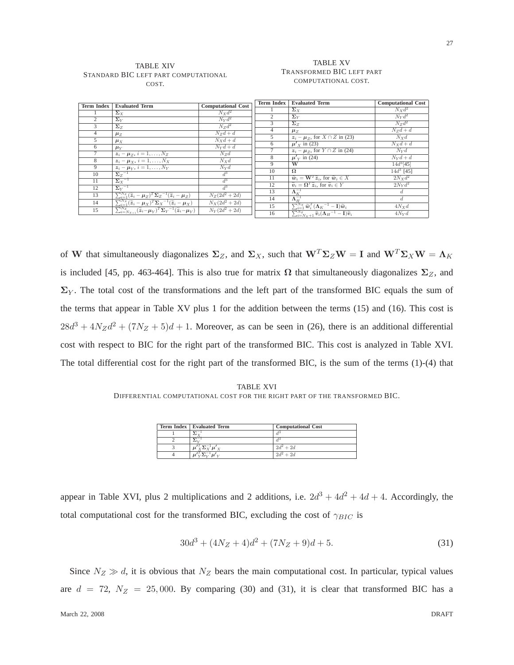#### TABLE XIV STANDARD BIC LEFT PART COMPUTATIONAL COST.

#### TABLE XV TRANSFORMED BIC LEFT PART COMPUTATIONAL COST.

| <b>Term Index</b> | <b>Evaluated Term</b>                                                                                                                                      | <b>Computational Cost</b> | <b>Term Index</b> | <b>Evaluated Term</b>                                                                                                                                                                                                                                   | <b>Computational Cost</b>      |
|-------------------|------------------------------------------------------------------------------------------------------------------------------------------------------------|---------------------------|-------------------|---------------------------------------------------------------------------------------------------------------------------------------------------------------------------------------------------------------------------------------------------------|--------------------------------|
|                   | $\Sigma_X$                                                                                                                                                 | $N_X d^2$                 |                   | $\Sigma_X$                                                                                                                                                                                                                                              | $N_X d^2$                      |
| $\overline{2}$    |                                                                                                                                                            |                           | $\overline{c}$    | $\Sigma_V$                                                                                                                                                                                                                                              | $N_V d^2$                      |
|                   | $\Sigma_Y$                                                                                                                                                 | $N_{\rm Y}d^2$            | 3                 | $\Sigma_Z$                                                                                                                                                                                                                                              | $Nzd^2$                        |
| 3                 | $\Sigma_{Z}$                                                                                                                                               | $N_Z d^2$                 | 4                 | $\mu_Z$                                                                                                                                                                                                                                                 | $N_Zd + d$                     |
| $\overline{4}$    | $\mu_Z$                                                                                                                                                    | $N_Zd + d$                | 5                 | $z_i - \mu_z$ , for $X \cap Z$ in (23)                                                                                                                                                                                                                  | $N_Xd$                         |
| 5                 | $\mu_X$                                                                                                                                                    | $N_{X}d + d$              |                   |                                                                                                                                                                                                                                                         |                                |
| 6                 | $\mu_Y$                                                                                                                                                    | $N_{\rm V}d + d$          | 6                 | $\mu'_{x}$ in (23)                                                                                                                                                                                                                                      | $N_{X}d+d$                     |
|                   | $z_i - \mu_Z, i = 1, , N_Z$                                                                                                                                | $N_Zd$                    |                   | $z_i - \mu_z$ , for $\overline{Y \cap Z}$ in (24)                                                                                                                                                                                                       | $N_Vd$                         |
| 8                 | $z_i - \mu_X$ , $i = 1, \ldots, N_X$                                                                                                                       | $N_{X}d$                  | 8                 | $\mu'_{V}$ in (24)                                                                                                                                                                                                                                      | $N_Vd + d$                     |
| 9                 | $z_i - \overline{\mu_Y}, i = 1, \ldots, N_Y$                                                                                                               | $N_Yd$                    | 9                 | W                                                                                                                                                                                                                                                       | $14d^{3}[45]$                  |
|                   |                                                                                                                                                            |                           | 10                | $\Omega$                                                                                                                                                                                                                                                | $14d^3$ [45]                   |
| 10                | $\Sigma_Z^{-1}$                                                                                                                                            | $d^3$                     | 11                | $\widetilde{\boldsymbol{w}}_i = \mathbf{W}^T \widetilde{\boldsymbol{z}}_i$ , for $\widetilde{\boldsymbol{w}}_i \in X$                                                                                                                                   | $2N_Xd^2$                      |
| 11                | $\Sigma_X^{-1}$                                                                                                                                            | $d^3$                     | 12                | $\widetilde{\mathbf{v}}_i = \mathbf{\Omega}^T \widetilde{\mathbf{z}}_i$ , for $\widetilde{\mathbf{v}}_i \in Y$                                                                                                                                          | 2N <sub>Y</sub> d <sup>2</sup> |
| 12                | $\Sigma_V^{-1}$                                                                                                                                            | $d^3$                     | 13                |                                                                                                                                                                                                                                                         |                                |
| 13                | $\sum_{i=1}^{N_Z} (\widetilde{\boldsymbol{z}}_i - \boldsymbol{\mu}_Z)^T \boldsymbol{\Sigma}_Z^{-1} (\widetilde{\boldsymbol{z}}_i - \boldsymbol{\mu}_Z)$    | $N_Z(2d^2+2d)$            |                   | $\Lambda_K^{-1}$                                                                                                                                                                                                                                        | đ.                             |
| 14                | $\overline{\sum_{i=1}^{N_X} (\widetilde{\mathbf{z}}_i - \boldsymbol{\mu}_X)^T \boldsymbol{\Sigma}_X}^{-1} (\widetilde{\mathbf{z}}_i - \boldsymbol{\mu}_X)$ | $N_X(2d^2+2d)$            | 14                | $\Lambda_H^{-1}$                                                                                                                                                                                                                                        | d.                             |
| 15                | $\overline{\sum_{i=N_{Y+1}}^{N_{Z}}(\widetilde{z}_{i}-\mu_{Y})^{T}\Sigma_{Y}}^{-1}(\widetilde{z}_{i}-\mu_{Y})$                                             | $N_V(2d^2+2d)$            | 15                |                                                                                                                                                                                                                                                         | $4N_Xd$                        |
|                   |                                                                                                                                                            |                           | 16                | $\frac{\sum_{i=1}^{N_X} \widetilde{\boldsymbol{w}}_i^T (\boldsymbol{\Lambda}_K^{-1}-\mathbf{I}) \widetilde{\boldsymbol{w}}_i}{\sum_{i=N_X+1}^{N_Z} \widetilde{\boldsymbol{v}}_i (\boldsymbol{\Lambda}_H^{-1}-\mathbf{I}) \widetilde{\boldsymbol{v}}_i}$ | 4N <sub>V</sub>                |
|                   |                                                                                                                                                            |                           |                   |                                                                                                                                                                                                                                                         |                                |

of W that simultaneously diagonalizes  $\Sigma_Z$ , and  $\Sigma_X$ , such that  $W^T \Sigma_Z W = I$  and  $W^T \Sigma_X W = \Lambda_K$ is included [45, pp. 463-464]. This is also true for matrix  $\Omega$  that simultaneously diagonalizes  $\Sigma_Z$ , and  $\Sigma_Y$ . The total cost of the transformations and the left part of the transformed BIC equals the sum of the terms that appear in Table XV plus 1 for the addition between the terms (15) and (16). This cost is  $28d^3 + 4N_Zd^2 + (7N_Z + 5)d + 1$ . Moreover, as can be seen in (26), there is an additional differential cost with respect to BIC for the right part of the transformed BIC. This cost is analyzed in Table XVI. The total differential cost for the right part of the transformed BIC, is the sum of the terms (1)-(4) that

## TABLE XVI DIFFERENTIAL COMPUTATIONAL COST FOR THE RIGHT PART OF THE TRANSFORMED BIC.

| <b>Term Index   Evaluated Term</b> | <b>Computational Cost</b> |
|------------------------------------|---------------------------|
|                                    |                           |
|                                    |                           |
|                                    | $2d^2 + 2d$               |
|                                    | $2d^2 + 2d$               |

appear in Table XVI, plus 2 multiplications and 2 additions, i.e.  $2d^3 + 4d^2 + 4d + 4$ . Accordingly, the total computational cost for the transformed BIC, excluding the cost of  $\gamma_{BIC}$  is

$$
30d^3 + (4N_Z + 4)d^2 + (7N_Z + 9)d + 5.
$$
 (31)

Since  $N_Z \gg d$ , it is obvious that  $N_Z$  bears the main computational cost. In particular, typical values are  $d = 72$ ,  $N_Z = 25,000$ . By comparing (30) and (31), it is clear that transformed BIC has a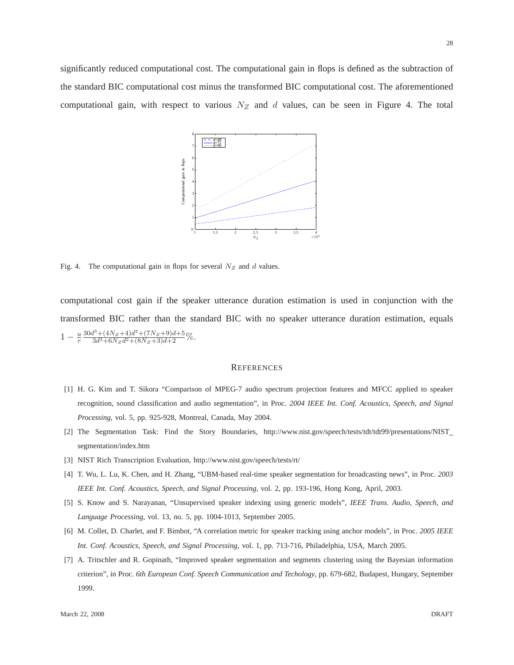significantly reduced computational cost. The computational gain in flops is defined as the subtraction of the standard BIC computational cost minus the transformed BIC computational cost. The aforementioned computational gain, with respect to various  $N_Z$  and d values, can be seen in Figure 4. The total



Fig. 4. The computational gain in flops for several  $N_Z$  and d values.

computational cost gain if the speaker utterance duration estimation is used in conjunction with the transformed BIC rather than the standard BIC with no speaker utterance duration estimation, equals  $1-\frac{u}{r}$ r  $30d^3 + (4N_Z + 4)d^2 + (7N_Z + 9)d + 5$  $\frac{3d^3 + 6N_Z d^2 + (N_Z + 3)d + 5}{3d^3 + 6N_Z d^2 + (8N_Z + 3)d + 2}\%$ 

#### **REFERENCES**

- [1] H. G. Kim and T. Sikora "Comparison of MPEG-7 audio spectrum projection features and MFCC applied to speaker recognition, sound classification and audio segmentation", in Proc. *2004 IEEE Int. Conf. Acoustics, Speech, and Signal Processing*, vol. 5, pp. 925-928, Montreal, Canada, May 2004.
- [2] The Segmentation Task: Find the Story Boundaries, http://www.nist.gov/speech/tests/tdt/tdt99/presentations/NIST\_ segmentation/index.htm
- [3] NIST Rich Transcription Evaluation, http://www.nist.gov/speech/tests/rt/
- [4] T. Wu, L. Lu, K. Chen, and H. Zhang, "UBM-based real-time speaker segmentation for broadcasting news", in Proc. *2003 IEEE Int. Conf. Acoustics, Speech, and Signal Processing*, vol. 2, pp. 193-196, Hong Kong, April, 2003.
- [5] S. Know and S. Narayanan, "Unsupervised speaker indexing using generic models", *IEEE Trans. Audio, Speech, and Language Processing*, vol. 13, no. 5, pp. 1004-1013, September 2005.
- [6] M. Collet, D. Charlet, and F. Bimbot, "A correlation metric for speaker tracking using anchor models", in Proc. *2005 IEEE Int. Conf. Acoustics, Speech, and Signal Processing*, vol. 1, pp. 713-716, Philadelphia, USA, March 2005.
- [7] A. Tritschler and R. Gopinath, "Improved speaker segmentation and segments clustering using the Bayesian information criterion", in Proc. *6th European Conf. Speech Communication and Techology*, pp. 679-682, Budapest, Hungary, September 1999.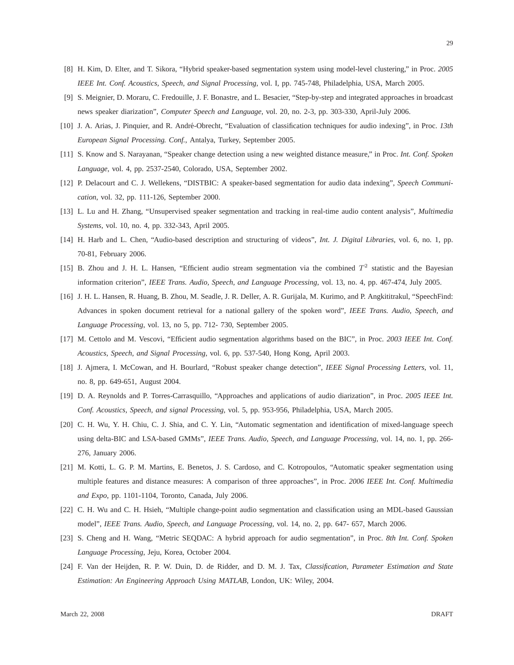- [8] H. Kim, D. Elter, and T. Sikora, "Hybrid speaker-based segmentation system using model-level clustering," in Proc. *2005 IEEE Int. Conf. Acoustics, Speech, and Signal Processing*, vol. I, pp. 745-748, Philadelphia, USA, March 2005.
- [9] S. Meignier, D. Moraru, C. Fredouille, J. F. Bonastre, and L. Besacier, "Step-by-step and integrated approaches in broadcast news speaker diarization", *Computer Speech and Language*, vol. 20, no. 2-3, pp. 303-330, April-July 2006.
- [10] J. A. Arias, J. Pinquier, and R. André-Obrecht, "Evaluation of classification techniques for audio indexing", in Proc. 13th *European Signal Processing. Conf.*, Antalya, Turkey, September 2005.
- [11] S. Know and S. Narayanan, "Speaker change detection using a new weighted distance measure," in Proc. *Int. Conf. Spoken Language*, vol. 4, pp. 2537-2540, Colorado, USA, September 2002.
- [12] P. Delacourt and C. J. Wellekens, "DISTBIC: A speaker-based segmentation for audio data indexing", *Speech Communication*, vol. 32, pp. 111-126, September 2000.
- [13] L. Lu and H. Zhang, "Unsupervised speaker segmentation and tracking in real-time audio content analysis", *Multimedia Systems*, vol. 10, no. 4, pp. 332-343, April 2005.
- [14] H. Harb and L. Chen, "Audio-based description and structuring of videos", *Int. J. Digital Libraries*, vol. 6, no. 1, pp. 70-81, February 2006.
- [15] B. Zhou and J. H. L. Hansen, "Efficient audio stream segmentation via the combined  $T^2$  statistic and the Bayesian information criterion", *IEEE Trans. Audio, Speech, and Language Processing*, vol. 13, no. 4, pp. 467-474, July 2005.
- [16] J. H. L. Hansen, R. Huang, B. Zhou, M. Seadle, J. R. Deller, A. R. Gurijala, M. Kurimo, and P. Angkititrakul, "SpeechFind: Advances in spoken document retrieval for a national gallery of the spoken word", *IEEE Trans. Audio, Speech, and Language Processing*, vol. 13, no 5, pp. 712- 730, September 2005.
- [17] M. Cettolo and M. Vescovi, "Efficient audio segmentation algorithms based on the BIC", in Proc. *2003 IEEE Int. Conf. Acoustics, Speech, and Signal Processing*, vol. 6, pp. 537-540, Hong Kong, April 2003.
- [18] J. Ajmera, I. McCowan, and H. Bourlard, "Robust speaker change detection", *IEEE Signal Processing Letters*, vol. 11, no. 8, pp. 649-651, August 2004.
- [19] D. A. Reynolds and P. Torres-Carrasquillo, "Approaches and applications of audio diarization", in Proc. *2005 IEEE Int. Conf. Acoustics, Speech, and signal Processing,* vol. 5, pp. 953-956, Philadelphia, USA, March 2005.
- [20] C. H. Wu, Y. H. Chiu, C. J. Shia, and C. Y. Lin, "Automatic segmentation and identification of mixed-language speech using delta-BIC and LSA-based GMMs", *IEEE Trans. Audio, Speech, and Language Processing*, vol. 14, no. 1, pp. 266- 276, January 2006.
- [21] M. Kotti, L. G. P. M. Martins, E. Benetos, J. S. Cardoso, and C. Kotropoulos, "Automatic speaker segmentation using multiple features and distance measures: A comparison of three approaches", in Proc. *2006 IEEE Int. Conf. Multimedia and Expo*, pp. 1101-1104, Toronto, Canada, July 2006.
- [22] C. H. Wu and C. H. Hsieh, "Multiple change-point audio segmentation and classification using an MDL-based Gaussian model", *IEEE Trans. Audio, Speech, and Language Processing*, vol. 14, no. 2, pp. 647- 657, March 2006.
- [23] S. Cheng and H. Wang, "Metric SEQDAC: A hybrid approach for audio segmentation", in Proc. *8th Int. Conf. Spoken Language Processing*, Jeju, Korea, October 2004.
- [24] F. Van der Heijden, R. P. W. Duin, D. de Ridder, and D. M. J. Tax, *Classification, Parameter Estimation and State Estimation: An Engineering Approach Using MATLAB*, London, UK: Wiley, 2004.